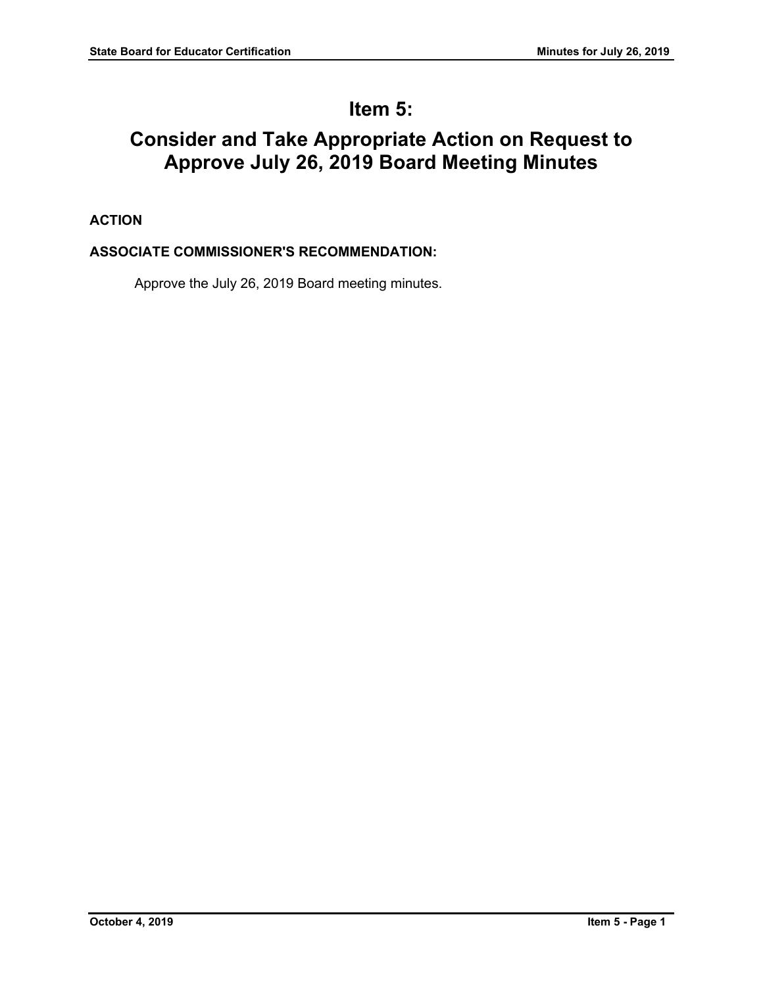# **Item 5:**

# **Consider and Take Appropriate Action on Request to Approve July 26, 2019 Board Meeting Minutes**

# **ACTION**

# **ASSOCIATE COMMISSIONER'S RECOMMENDATION:**

Approve the July 26, 2019 Board meeting minutes.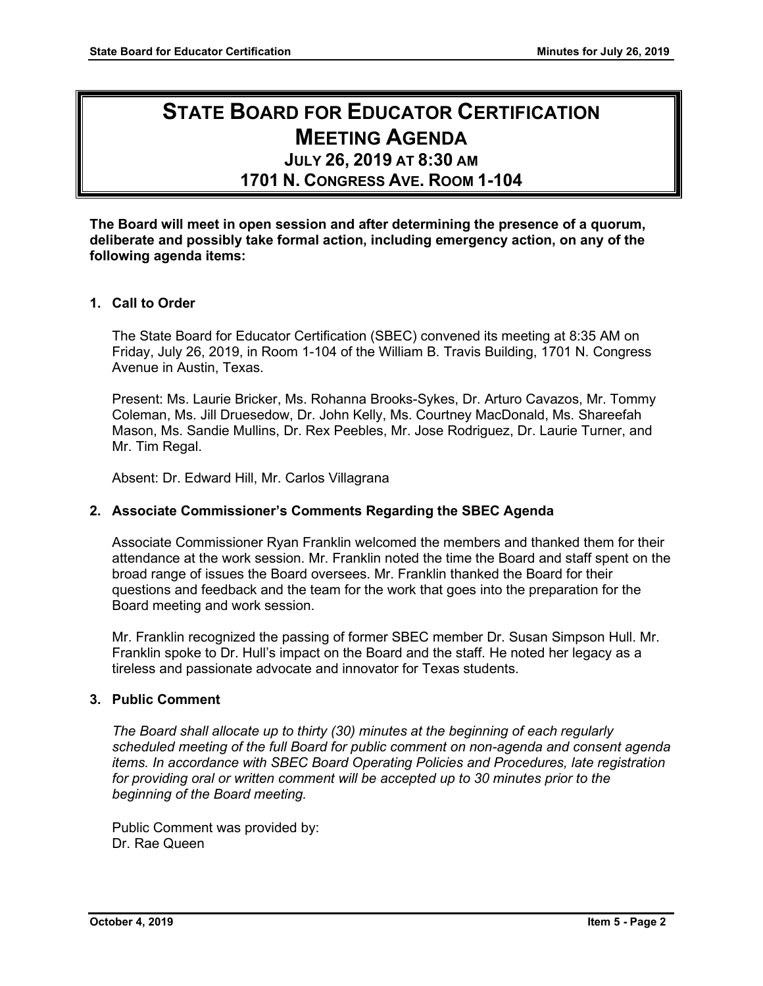# **STATE BOARD FOR EDUCATOR CERTIFICATION MEETING AGENDA**

# **JULY 26, 2019 AT 8:30 AM**

**1701 N. CONGRESS AVE. ROOM 1-104**

**The Board will meet in open session and after determining the presence of a quorum, deliberate and possibly take formal action, including emergency action, on any of the following agenda items:**

# **1. Call to Order**

The State Board for Educator Certification (SBEC) convened its meeting at 8:35 AM on Friday, July 26, 2019, in Room 1-104 of the William B. Travis Building, 1701 N. Congress Avenue in Austin, Texas.

Present: Ms. Laurie Bricker, Ms. Rohanna Brooks-Sykes, Dr. Arturo Cavazos, Mr. Tommy Coleman, Ms. Jill Druesedow, Dr. John Kelly, Ms. Courtney MacDonald, Ms. Shareefah Mason, Ms. Sandie Mullins, Dr. Rex Peebles, Mr. Jose Rodriguez, Dr. Laurie Turner, and Mr. Tim Regal.

Absent: Dr. Edward Hill, Mr. Carlos Villagrana

# **2. Associate Commissioner's Comments Regarding the SBEC Agenda**

Associate Commissioner Ryan Franklin welcomed the members and thanked them for their attendance at the work session. Mr. Franklin noted the time the Board and staff spent on the broad range of issues the Board oversees. Mr. Franklin thanked the Board for their questions and feedback and the team for the work that goes into the preparation for the Board meeting and work session.

Mr. Franklin recognized the passing of former SBEC member Dr. Susan Simpson Hull. Mr. Franklin spoke to Dr. Hull's impact on the Board and the staff. He noted her legacy as a tireless and passionate advocate and innovator for Texas students.

# **3. Public Comment**

*The Board shall allocate up to thirty (30) minutes at the beginning of each regularly scheduled meeting of the full Board for public comment on non-agenda and consent agenda items. In accordance with SBEC Board Operating Policies and Procedures, late registration for providing oral or written comment will be accepted up to 30 minutes prior to the beginning of the Board meeting.*

Public Comment was provided by: Dr. Rae Queen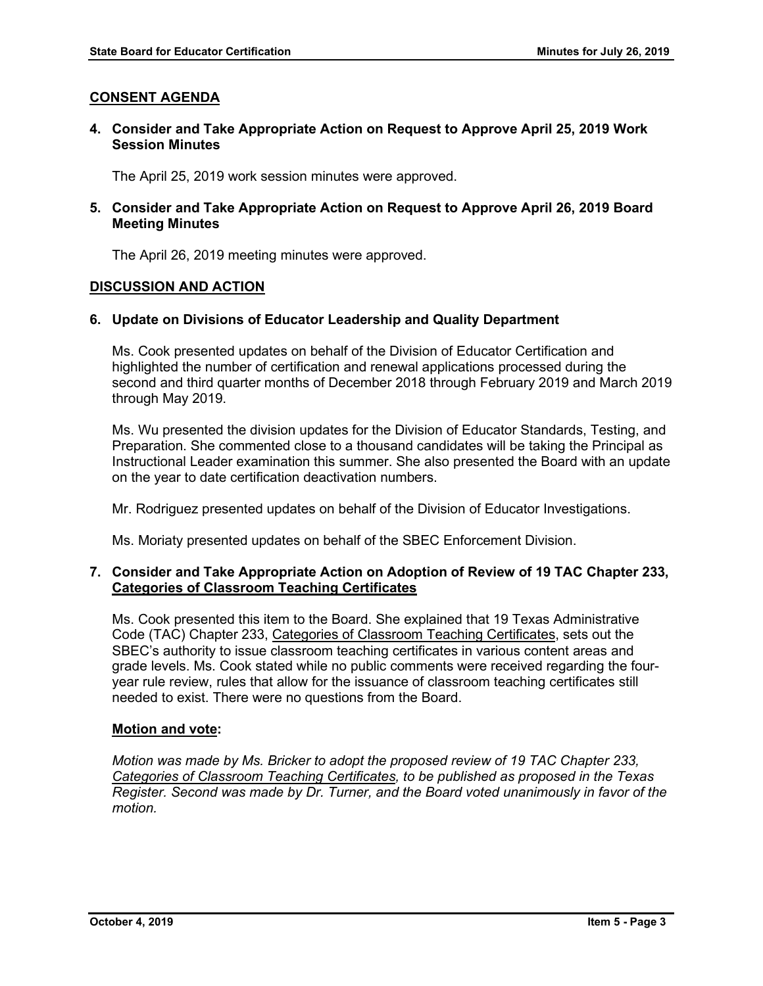# **CONSENT AGENDA**

**4. Consider and Take Appropriate Action on Request to Approve April 25, 2019 Work Session Minutes**

The April 25, 2019 work session minutes were approved.

**5. Consider and Take Appropriate Action on Request to Approve April 26, 2019 Board Meeting Minutes**

The April 26, 2019 meeting minutes were approved.

# **DISCUSSION AND ACTION**

# **6. Update on Divisions of Educator Leadership and Quality Department**

Ms. Cook presented updates on behalf of the Division of Educator Certification and highlighted the number of certification and renewal applications processed during the second and third quarter months of December 2018 through February 2019 and March 2019 through May 2019.

Ms. Wu presented the division updates for the Division of Educator Standards, Testing, and Preparation. She commented close to a thousand candidates will be taking the Principal as Instructional Leader examination this summer. She also presented the Board with an update on the year to date certification deactivation numbers.

Mr. Rodriguez presented updates on behalf of the Division of Educator Investigations.

Ms. Moriaty presented updates on behalf of the SBEC Enforcement Division.

# **7. Consider and Take Appropriate Action on Adoption of Review of 19 TAC Chapter 233, Categories of Classroom Teaching Certificates**

Ms. Cook presented this item to the Board. She explained that 19 Texas Administrative Code (TAC) Chapter 233, Categories of Classroom Teaching Certificates, sets out the SBEC's authority to issue classroom teaching certificates in various content areas and grade levels. Ms. Cook stated while no public comments were received regarding the fouryear rule review, rules that allow for the issuance of classroom teaching certificates still needed to exist. There were no questions from the Board.

# **Motion and vote:**

*Motion was made by Ms. Bricker to adopt the proposed review of 19 TAC Chapter 233, Categories of Classroom Teaching Certificates, to be published as proposed in the Texas Register. Second was made by Dr. Turner, and the Board voted unanimously in favor of the motion.*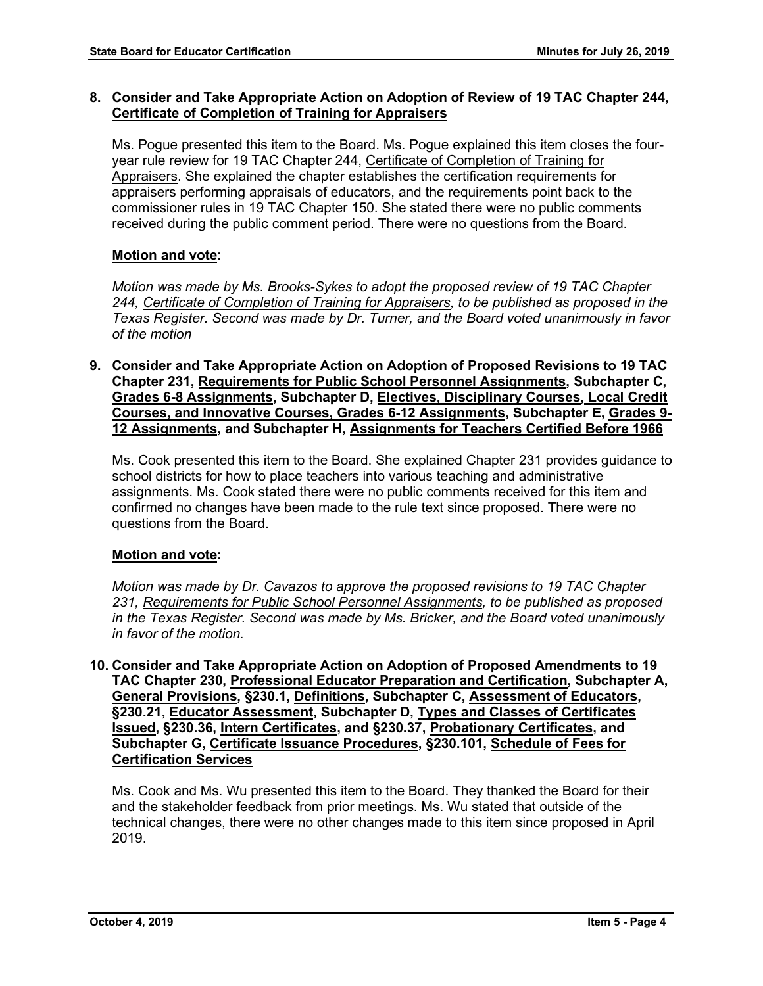# **8. Consider and Take Appropriate Action on Adoption of Review of 19 TAC Chapter 244, Certificate of Completion of Training for Appraisers**

Ms. Pogue presented this item to the Board. Ms. Pogue explained this item closes the fouryear rule review for 19 TAC Chapter 244, Certificate of Completion of Training for Appraisers. She explained the chapter establishes the certification requirements for appraisers performing appraisals of educators, and the requirements point back to the commissioner rules in 19 TAC Chapter 150. She stated there were no public comments received during the public comment period. There were no questions from the Board.

# **Motion and vote:**

*Motion was made by Ms. Brooks-Sykes to adopt the proposed review of 19 TAC Chapter 244, Certificate of Completion of Training for Appraisers, to be published as proposed in the Texas Register. Second was made by Dr. Turner, and the Board voted unanimously in favor of the motion*

**9. Consider and Take Appropriate Action on Adoption of Proposed Revisions to 19 TAC Chapter 231, Requirements for Public School Personnel Assignments, Subchapter C, Grades 6-8 Assignments, Subchapter D, Electives, Disciplinary Courses, Local Credit Courses, and Innovative Courses, Grades 6-12 Assignments, Subchapter E, Grades 9- 12 Assignments, and Subchapter H, Assignments for Teachers Certified Before 1966**

Ms. Cook presented this item to the Board. She explained Chapter 231 provides guidance to school districts for how to place teachers into various teaching and administrative assignments. Ms. Cook stated there were no public comments received for this item and confirmed no changes have been made to the rule text since proposed. There were no questions from the Board.

# **Motion and vote:**

*Motion was made by Dr. Cavazos to approve the proposed revisions to 19 TAC Chapter 231, Requirements for Public School Personnel Assignments, to be published as proposed in the Texas Register. Second was made by Ms. Bricker, and the Board voted unanimously in favor of the motion.*

**10. Consider and Take Appropriate Action on Adoption of Proposed Amendments to 19 TAC Chapter 230, Professional Educator Preparation and Certification, Subchapter A, General Provisions, §230.1, Definitions, Subchapter C, Assessment of Educators, §230.21, Educator Assessment, Subchapter D, Types and Classes of Certificates Issued, §230.36, Intern Certificates, and §230.37, Probationary Certificates, and Subchapter G, Certificate Issuance Procedures, §230.101, Schedule of Fees for Certification Services**

Ms. Cook and Ms. Wu presented this item to the Board. They thanked the Board for their and the stakeholder feedback from prior meetings. Ms. Wu stated that outside of the technical changes, there were no other changes made to this item since proposed in April 2019.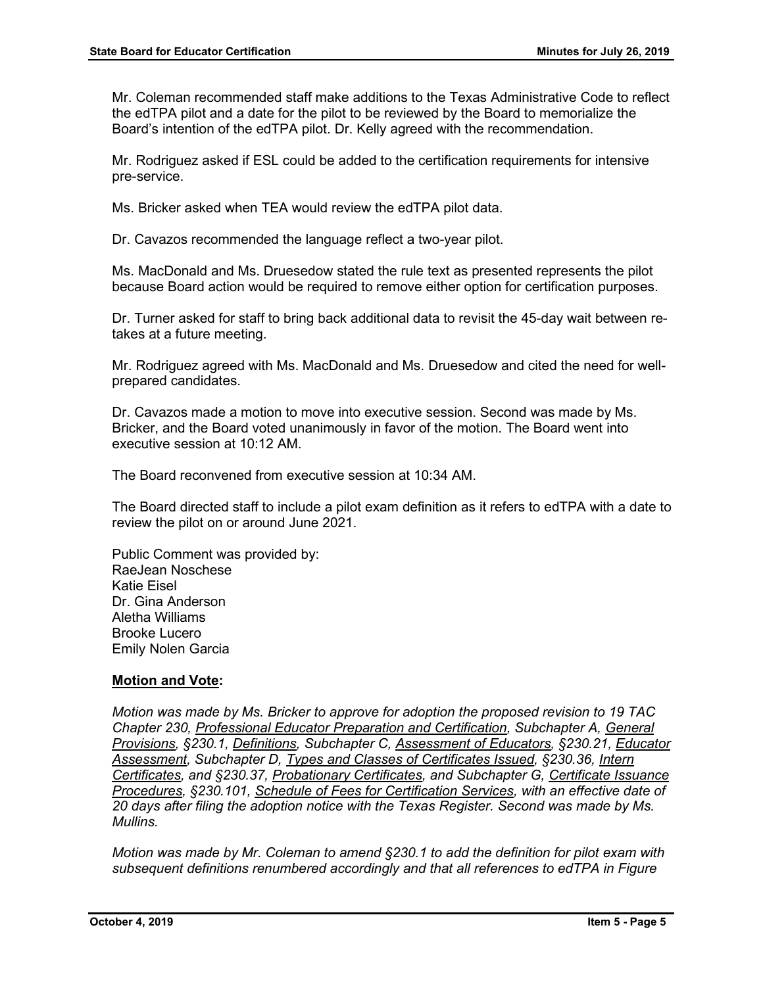Mr. Coleman recommended staff make additions to the Texas Administrative Code to reflect the edTPA pilot and a date for the pilot to be reviewed by the Board to memorialize the Board's intention of the edTPA pilot. Dr. Kelly agreed with the recommendation.

Mr. Rodriguez asked if ESL could be added to the certification requirements for intensive pre-service.

Ms. Bricker asked when TEA would review the edTPA pilot data.

Dr. Cavazos recommended the language reflect a two-year pilot.

Ms. MacDonald and Ms. Druesedow stated the rule text as presented represents the pilot because Board action would be required to remove either option for certification purposes.

Dr. Turner asked for staff to bring back additional data to revisit the 45-day wait between retakes at a future meeting.

Mr. Rodriguez agreed with Ms. MacDonald and Ms. Druesedow and cited the need for wellprepared candidates.

Dr. Cavazos made a motion to move into executive session. Second was made by Ms. Bricker, and the Board voted unanimously in favor of the motion. The Board went into executive session at 10:12 AM.

The Board reconvened from executive session at 10:34 AM.

The Board directed staff to include a pilot exam definition as it refers to edTPA with a date to review the pilot on or around June 2021.

Public Comment was provided by: RaeJean Noschese Katie Eisel Dr. Gina Anderson Aletha Williams Brooke Lucero Emily Nolen Garcia

# **Motion and Vote:**

*Motion was made by Ms. Bricker to approve for adoption the proposed revision to 19 TAC Chapter 230, Professional Educator Preparation and Certification, Subchapter A, General Provisions, §230.1, Definitions, Subchapter C, Assessment of Educators, §230.21, Educator Assessment, Subchapter D, Types and Classes of Certificates Issued, §230.36, Intern Certificates, and §230.37, Probationary Certificates, and Subchapter G, Certificate Issuance Procedures, §230.101, Schedule of Fees for Certification Services, with an effective date of 20 days after filing the adoption notice with the Texas Register. Second was made by Ms. Mullins.*

*Motion was made by Mr. Coleman to amend §230.1 to add the definition for pilot exam with subsequent definitions renumbered accordingly and that all references to edTPA in Figure*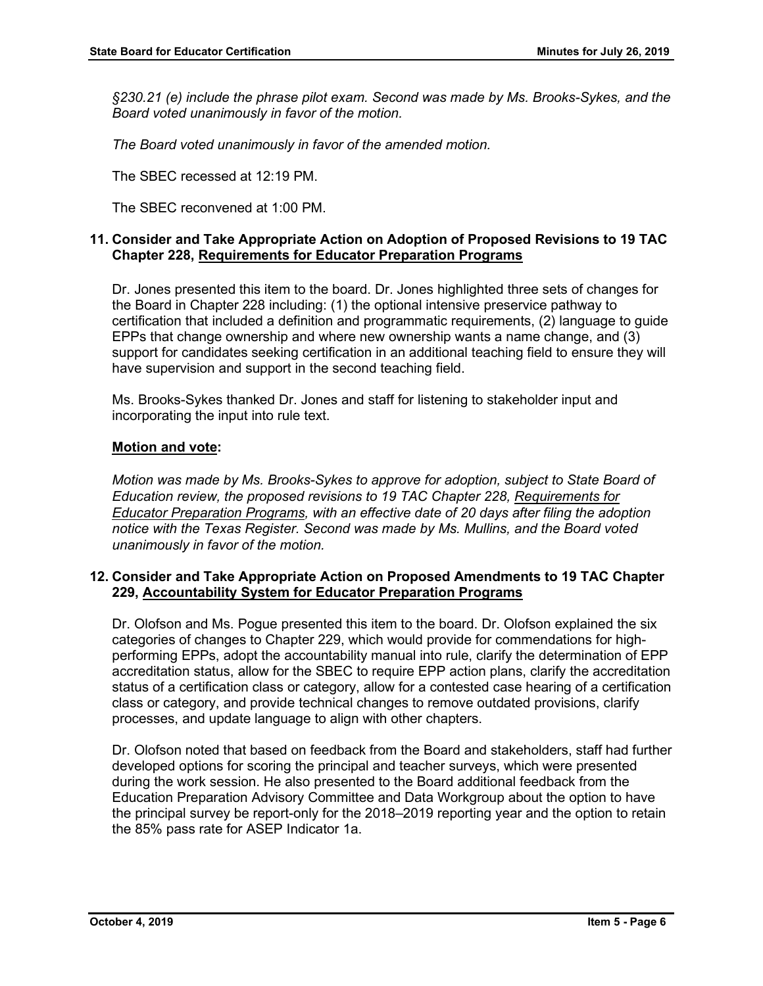*§230.21 (e) include the phrase pilot exam. Second was made by Ms. Brooks-Sykes, and the Board voted unanimously in favor of the motion.*

*The Board voted unanimously in favor of the amended motion.*

The SBEC recessed at 12:19 PM.

The SBEC reconvened at 1:00 PM.

# **11. Consider and Take Appropriate Action on Adoption of Proposed Revisions to 19 TAC Chapter 228, Requirements for Educator Preparation Programs**

Dr. Jones presented this item to the board. Dr. Jones highlighted three sets of changes for the Board in Chapter 228 including: (1) the optional intensive preservice pathway to certification that included a definition and programmatic requirements, (2) language to guide EPPs that change ownership and where new ownership wants a name change, and (3) support for candidates seeking certification in an additional teaching field to ensure they will have supervision and support in the second teaching field.

Ms. Brooks-Sykes thanked Dr. Jones and staff for listening to stakeholder input and incorporating the input into rule text.

# **Motion and vote:**

*Motion was made by Ms. Brooks-Sykes to approve for adoption, subject to State Board of Education review, the proposed revisions to 19 TAC Chapter 228, Requirements for Educator Preparation Programs, with an effective date of 20 days after filing the adoption notice with the Texas Register. Second was made by Ms. Mullins, and the Board voted unanimously in favor of the motion.*

# **12. Consider and Take Appropriate Action on Proposed Amendments to 19 TAC Chapter 229, Accountability System for Educator Preparation Programs**

Dr. Olofson and Ms. Pogue presented this item to the board. Dr. Olofson explained the six categories of changes to Chapter 229, which would provide for commendations for highperforming EPPs, adopt the accountability manual into rule, clarify the determination of EPP accreditation status, allow for the SBEC to require EPP action plans, clarify the accreditation status of a certification class or category, allow for a contested case hearing of a certification class or category, and provide technical changes to remove outdated provisions, clarify processes, and update language to align with other chapters.

Dr. Olofson noted that based on feedback from the Board and stakeholders, staff had further developed options for scoring the principal and teacher surveys, which were presented during the work session. He also presented to the Board additional feedback from the Education Preparation Advisory Committee and Data Workgroup about the option to have the principal survey be report-only for the 2018–2019 reporting year and the option to retain the 85% pass rate for ASEP Indicator 1a.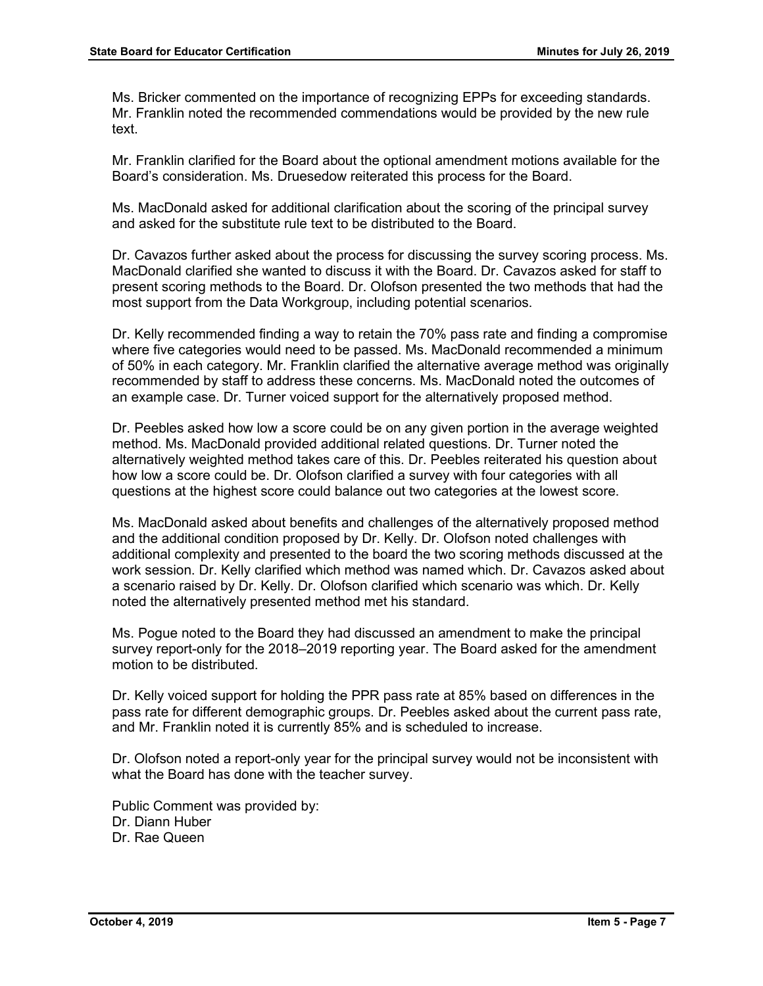Ms. Bricker commented on the importance of recognizing EPPs for exceeding standards. Mr. Franklin noted the recommended commendations would be provided by the new rule text.

Mr. Franklin clarified for the Board about the optional amendment motions available for the Board's consideration. Ms. Druesedow reiterated this process for the Board.

Ms. MacDonald asked for additional clarification about the scoring of the principal survey and asked for the substitute rule text to be distributed to the Board.

Dr. Cavazos further asked about the process for discussing the survey scoring process. Ms. MacDonald clarified she wanted to discuss it with the Board. Dr. Cavazos asked for staff to present scoring methods to the Board. Dr. Olofson presented the two methods that had the most support from the Data Workgroup, including potential scenarios.

Dr. Kelly recommended finding a way to retain the 70% pass rate and finding a compromise where five categories would need to be passed. Ms. MacDonald recommended a minimum of 50% in each category. Mr. Franklin clarified the alternative average method was originally recommended by staff to address these concerns. Ms. MacDonald noted the outcomes of an example case. Dr. Turner voiced support for the alternatively proposed method.

Dr. Peebles asked how low a score could be on any given portion in the average weighted method. Ms. MacDonald provided additional related questions. Dr. Turner noted the alternatively weighted method takes care of this. Dr. Peebles reiterated his question about how low a score could be. Dr. Olofson clarified a survey with four categories with all questions at the highest score could balance out two categories at the lowest score.

Ms. MacDonald asked about benefits and challenges of the alternatively proposed method and the additional condition proposed by Dr. Kelly. Dr. Olofson noted challenges with additional complexity and presented to the board the two scoring methods discussed at the work session. Dr. Kelly clarified which method was named which. Dr. Cavazos asked about a scenario raised by Dr. Kelly. Dr. Olofson clarified which scenario was which. Dr. Kelly noted the alternatively presented method met his standard.

Ms. Pogue noted to the Board they had discussed an amendment to make the principal survey report-only for the 2018–2019 reporting year. The Board asked for the amendment motion to be distributed.

Dr. Kelly voiced support for holding the PPR pass rate at 85% based on differences in the pass rate for different demographic groups. Dr. Peebles asked about the current pass rate, and Mr. Franklin noted it is currently 85% and is scheduled to increase.

Dr. Olofson noted a report-only year for the principal survey would not be inconsistent with what the Board has done with the teacher survey.

Public Comment was provided by: Dr. Diann Huber Dr. Rae Queen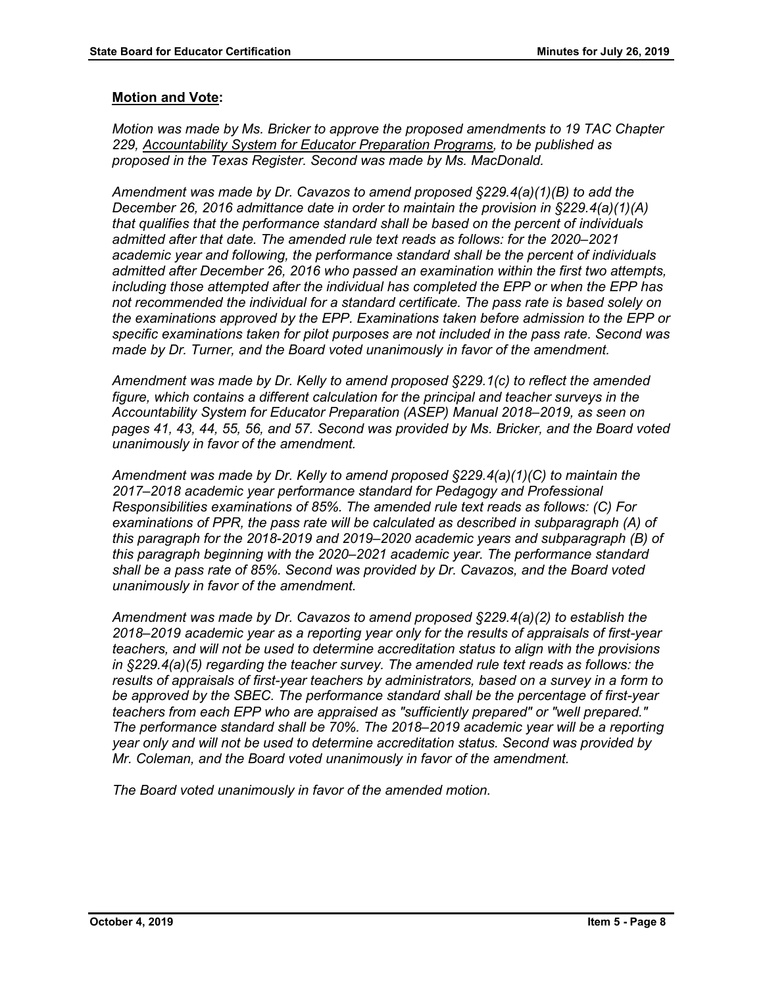*Motion was made by Ms. Bricker to approve the proposed amendments to 19 TAC Chapter 229, Accountability System for Educator Preparation Programs, to be published as proposed in the Texas Register. Second was made by Ms. MacDonald.*

*Amendment was made by Dr. Cavazos to amend proposed §229.4(a)(1)(B) to add the December 26, 2016 admittance date in order to maintain the provision in §229.4(a)(1)(A) that qualifies that the performance standard shall be based on the percent of individuals admitted after that date. The amended rule text reads as follows: for the 2020–2021 academic year and following, the performance standard shall be the percent of individuals admitted after December 26, 2016 who passed an examination within the first two attempts, including those attempted after the individual has completed the EPP or when the EPP has not recommended the individual for a standard certificate. The pass rate is based solely on the examinations approved by the EPP. Examinations taken before admission to the EPP or specific examinations taken for pilot purposes are not included in the pass rate. Second was made by Dr. Turner, and the Board voted unanimously in favor of the amendment.*

*Amendment was made by Dr. Kelly to amend proposed §229.1(c) to reflect the amended figure, which contains a different calculation for the principal and teacher surveys in the Accountability System for Educator Preparation (ASEP) Manual 2018–2019, as seen on pages 41, 43, 44, 55, 56, and 57. Second was provided by Ms. Bricker, and the Board voted unanimously in favor of the amendment.*

*Amendment was made by Dr. Kelly to amend proposed §229.4(a)(1)(C) to maintain the 2017–2018 academic year performance standard for Pedagogy and Professional Responsibilities examinations of 85%. The amended rule text reads as follows: (C) For examinations of PPR, the pass rate will be calculated as described in subparagraph (A) of this paragraph for the 2018-2019 and 2019–2020 academic years and subparagraph (B) of this paragraph beginning with the 2020–2021 academic year. The performance standard shall be a pass rate of 85%. Second was provided by Dr. Cavazos, and the Board voted unanimously in favor of the amendment.* 

*Amendment was made by Dr. Cavazos to amend proposed §229.4(a)(2) to establish the 2018–2019 academic year as a reporting year only for the results of appraisals of first-year teachers, and will not be used to determine accreditation status to align with the provisions in §229.4(a)(5) regarding the teacher survey. The amended rule text reads as follows: the results of appraisals of first-year teachers by administrators, based on a survey in a form to be approved by the SBEC. The performance standard shall be the percentage of first-year teachers from each EPP who are appraised as "sufficiently prepared" or "well prepared." The performance standard shall be 70%. The 2018–2019 academic year will be a reporting year only and will not be used to determine accreditation status. Second was provided by Mr. Coleman, and the Board voted unanimously in favor of the amendment.*

*The Board voted unanimously in favor of the amended motion.*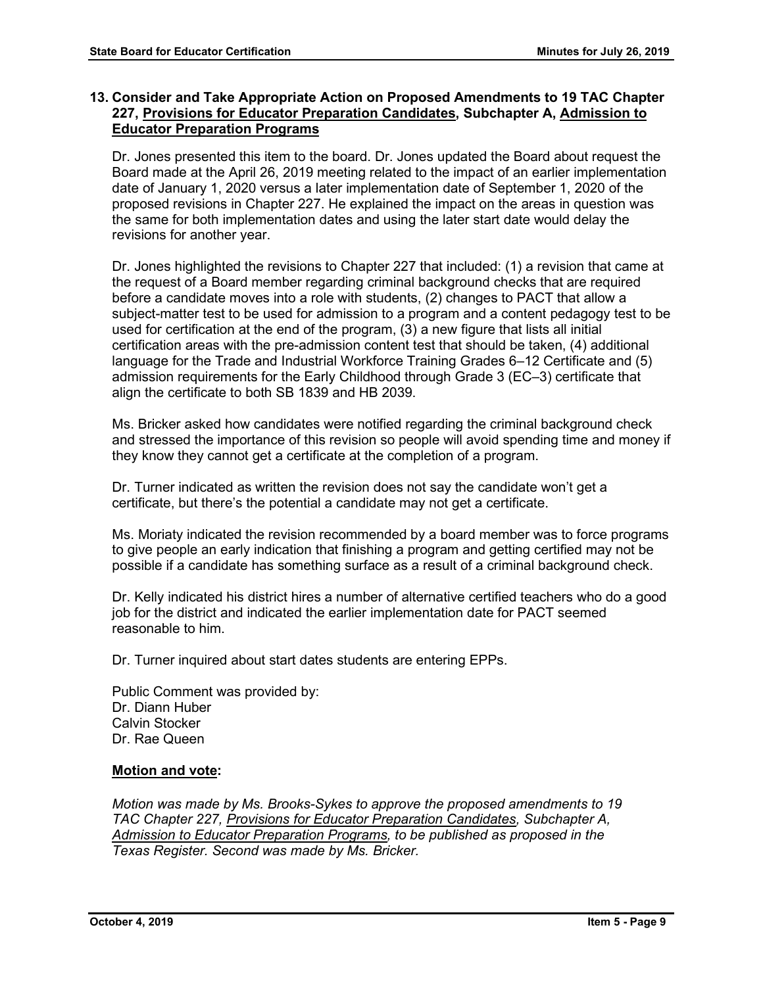# **13. Consider and Take Appropriate Action on Proposed Amendments to 19 TAC Chapter 227, Provisions for Educator Preparation Candidates, Subchapter A, Admission to Educator Preparation Programs**

Dr. Jones presented this item to the board. Dr. Jones updated the Board about request the Board made at the April 26, 2019 meeting related to the impact of an earlier implementation date of January 1, 2020 versus a later implementation date of September 1, 2020 of the proposed revisions in Chapter 227. He explained the impact on the areas in question was the same for both implementation dates and using the later start date would delay the revisions for another year.

Dr. Jones highlighted the revisions to Chapter 227 that included: (1) a revision that came at the request of a Board member regarding criminal background checks that are required before a candidate moves into a role with students, (2) changes to PACT that allow a subject-matter test to be used for admission to a program and a content pedagogy test to be used for certification at the end of the program, (3) a new figure that lists all initial certification areas with the pre-admission content test that should be taken, (4) additional language for the Trade and Industrial Workforce Training Grades 6–12 Certificate and (5) admission requirements for the Early Childhood through Grade 3 (EC–3) certificate that align the certificate to both SB 1839 and HB 2039.

Ms. Bricker asked how candidates were notified regarding the criminal background check and stressed the importance of this revision so people will avoid spending time and money if they know they cannot get a certificate at the completion of a program.

Dr. Turner indicated as written the revision does not say the candidate won't get a certificate, but there's the potential a candidate may not get a certificate.

Ms. Moriaty indicated the revision recommended by a board member was to force programs to give people an early indication that finishing a program and getting certified may not be possible if a candidate has something surface as a result of a criminal background check.

Dr. Kelly indicated his district hires a number of alternative certified teachers who do a good job for the district and indicated the earlier implementation date for PACT seemed reasonable to him.

Dr. Turner inquired about start dates students are entering EPPs.

Public Comment was provided by: Dr. Diann Huber Calvin Stocker Dr. Rae Queen

# **Motion and vote:**

*Motion was made by Ms. Brooks-Sykes to approve the proposed amendments to 19 TAC Chapter 227, Provisions for Educator Preparation Candidates, Subchapter A, Admission to Educator Preparation Programs, to be published as proposed in the Texas Register. Second was made by Ms. Bricker.*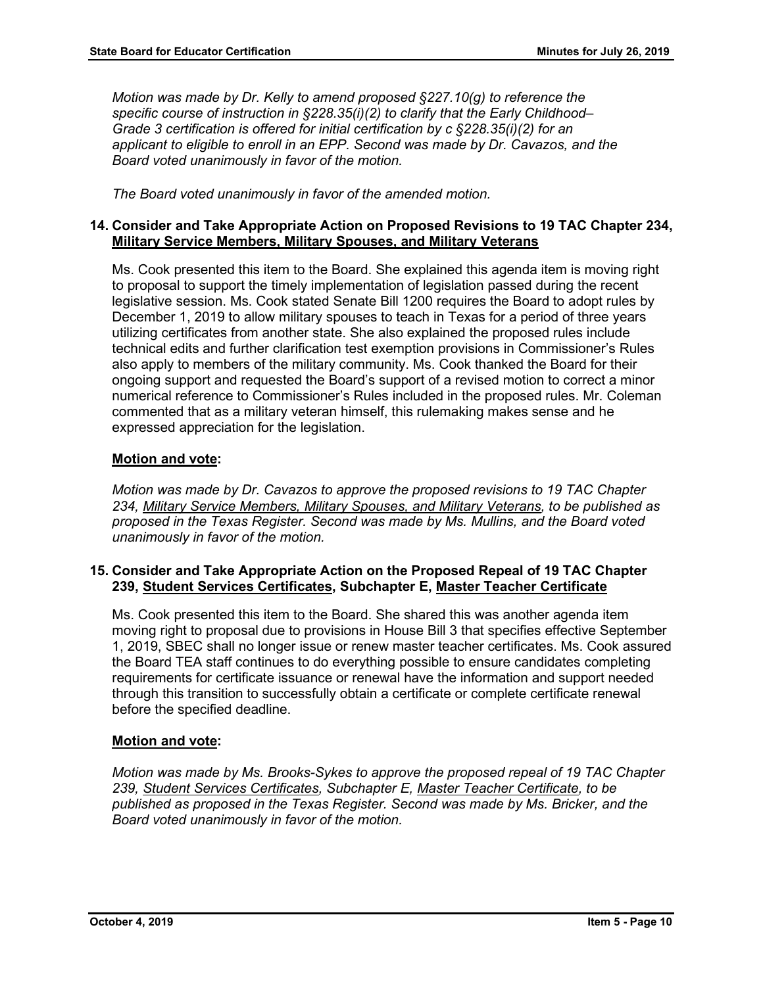*Motion was made by Dr. Kelly to amend proposed §227.10(g) to reference the specific course of instruction in §228.35(i)(2) to clarify that the Early Childhood– Grade 3 certification is offered for initial certification by c §228.35(i)(2) for an applicant to eligible to enroll in an EPP. Second was made by Dr. Cavazos, and the Board voted unanimously in favor of the motion.*

*The Board voted unanimously in favor of the amended motion.*

# **14. Consider and Take Appropriate Action on Proposed Revisions to 19 TAC Chapter 234, Military Service Members, Military Spouses, and Military Veterans**

Ms. Cook presented this item to the Board. She explained this agenda item is moving right to proposal to support the timely implementation of legislation passed during the recent legislative session. Ms. Cook stated Senate Bill 1200 requires the Board to adopt rules by December 1, 2019 to allow military spouses to teach in Texas for a period of three years utilizing certificates from another state. She also explained the proposed rules include technical edits and further clarification test exemption provisions in Commissioner's Rules also apply to members of the military community. Ms. Cook thanked the Board for their ongoing support and requested the Board's support of a revised motion to correct a minor numerical reference to Commissioner's Rules included in the proposed rules. Mr. Coleman commented that as a military veteran himself, this rulemaking makes sense and he expressed appreciation for the legislation.

# **Motion and vote:**

*Motion was made by Dr. Cavazos to approve the proposed revisions to 19 TAC Chapter 234, Military Service Members, Military Spouses, and Military Veterans, to be published as proposed in the Texas Register. Second was made by Ms. Mullins, and the Board voted unanimously in favor of the motion.*

# **15. Consider and Take Appropriate Action on the Proposed Repeal of 19 TAC Chapter 239, Student Services Certificates, Subchapter E, Master Teacher Certificate**

Ms. Cook presented this item to the Board. She shared this was another agenda item moving right to proposal due to provisions in House Bill 3 that specifies effective September 1, 2019, SBEC shall no longer issue or renew master teacher certificates. Ms. Cook assured the Board TEA staff continues to do everything possible to ensure candidates completing requirements for certificate issuance or renewal have the information and support needed through this transition to successfully obtain a certificate or complete certificate renewal before the specified deadline.

# **Motion and vote:**

*Motion was made by Ms. Brooks-Sykes to approve the proposed repeal of 19 TAC Chapter 239, Student Services Certificates, Subchapter E, Master Teacher Certificate, to be published as proposed in the Texas Register. Second was made by Ms. Bricker, and the Board voted unanimously in favor of the motion.*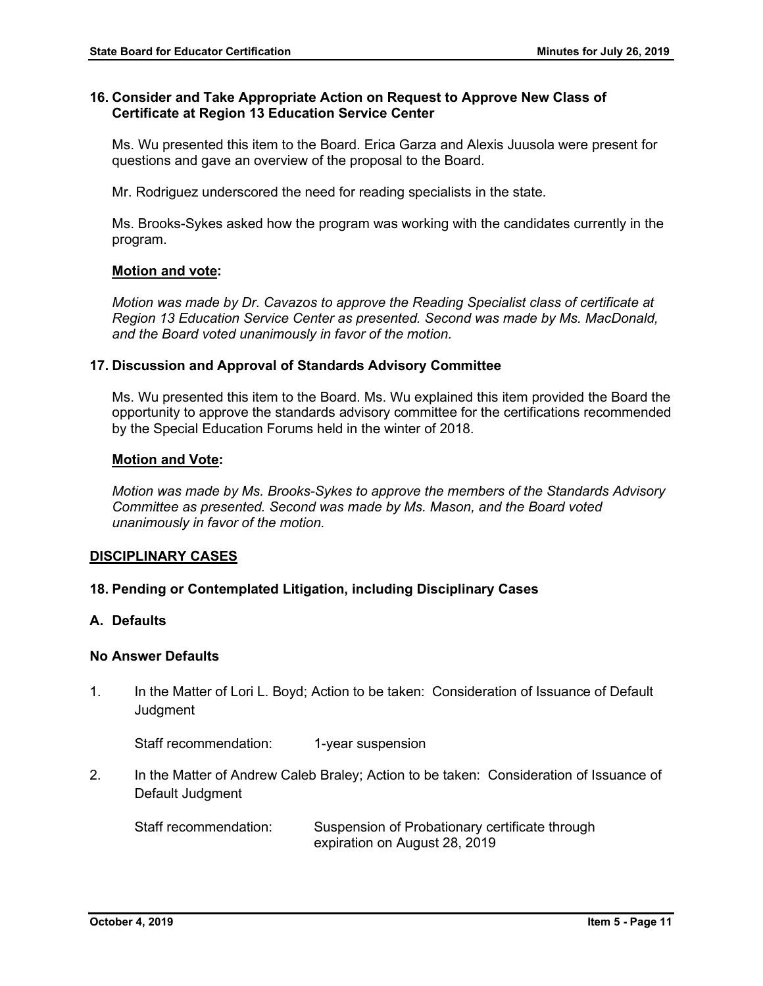# **16. Consider and Take Appropriate Action on Request to Approve New Class of Certificate at Region 13 Education Service Center**

Ms. Wu presented this item to the Board. Erica Garza and Alexis Juusola were present for questions and gave an overview of the proposal to the Board.

Mr. Rodriguez underscored the need for reading specialists in the state.

Ms. Brooks-Sykes asked how the program was working with the candidates currently in the program.

# **Motion and vote:**

*Motion was made by Dr. Cavazos to approve the Reading Specialist class of certificate at Region 13 Education Service Center as presented. Second was made by Ms. MacDonald, and the Board voted unanimously in favor of the motion.* 

# **17. Discussion and Approval of Standards Advisory Committee**

Ms. Wu presented this item to the Board. Ms. Wu explained this item provided the Board the opportunity to approve the standards advisory committee for the certifications recommended by the Special Education Forums held in the winter of 2018.

#### **Motion and Vote:**

*Motion was made by Ms. Brooks-Sykes to approve the members of the Standards Advisory Committee as presented. Second was made by Ms. Mason, and the Board voted unanimously in favor of the motion.*

# **DISCIPLINARY CASES**

# **18. Pending or Contemplated Litigation, including Disciplinary Cases**

# **A. Defaults**

# **No Answer Defaults**

1. In the Matter of Lori L. Boyd; Action to be taken: Consideration of Issuance of Default **Judgment** 

Staff recommendation: 1-year suspension

2. In the Matter of Andrew Caleb Braley; Action to be taken: Consideration of Issuance of Default Judgment

Staff recommendation: Suspension of Probationary certificate through expiration on August 28, 2019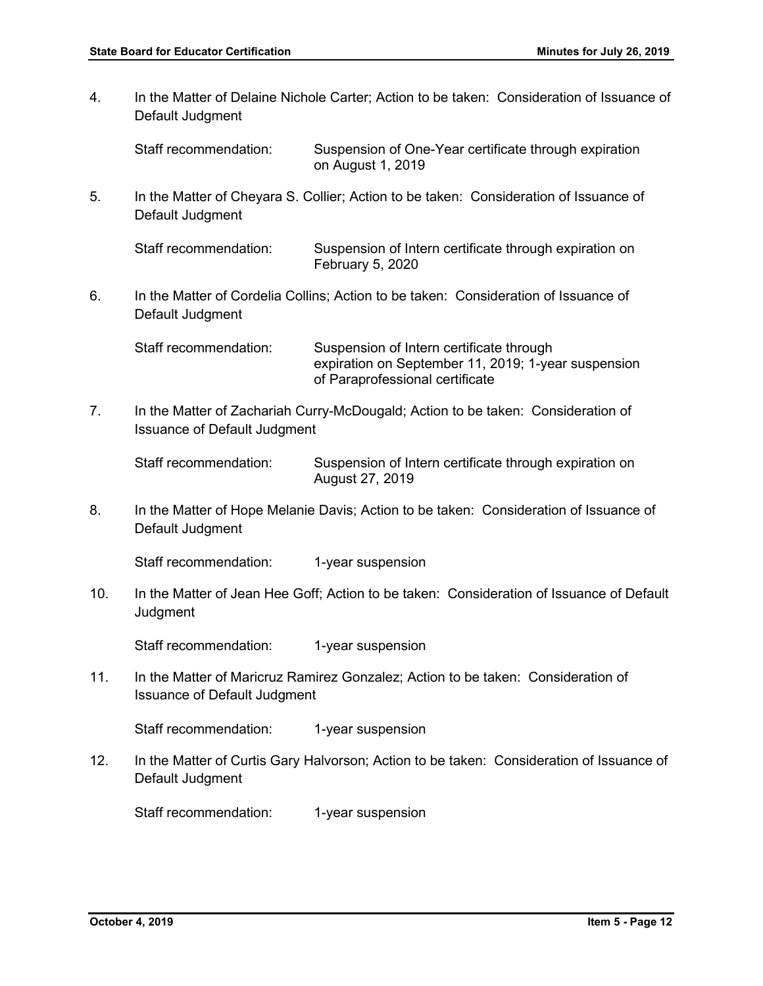4. In the Matter of Delaine Nichole Carter; Action to be taken: Consideration of Issuance of Default Judgment Staff recommendation: Suspension of One-Year certificate through expiration on August 1, 2019 5. In the Matter of Cheyara S. Collier; Action to be taken: Consideration of Issuance of Default Judgment Staff recommendation: Suspension of Intern certificate through expiration on February 5, 2020 6. In the Matter of Cordelia Collins; Action to be taken: Consideration of Issuance of Default Judgment Staff recommendation: Suspension of Intern certificate through expiration on September 11, 2019; 1-year suspension of Paraprofessional certificate 7. In the Matter of Zachariah Curry-McDougald; Action to be taken: Consideration of Issuance of Default Judgment Staff recommendation: Suspension of Intern certificate through expiration on August 27, 2019 8. In the Matter of Hope Melanie Davis; Action to be taken: Consideration of Issuance of Default Judgment Staff recommendation: 1-year suspension 10. In the Matter of Jean Hee Goff; Action to be taken: Consideration of Issuance of Default **Judament** Staff recommendation: 1-year suspension 11. In the Matter of Maricruz Ramirez Gonzalez; Action to be taken: Consideration of Issuance of Default Judgment Staff recommendation: 1-year suspension 12. In the Matter of Curtis Gary Halvorson; Action to be taken: Consideration of Issuance of Default Judgment Staff recommendation: 1-year suspension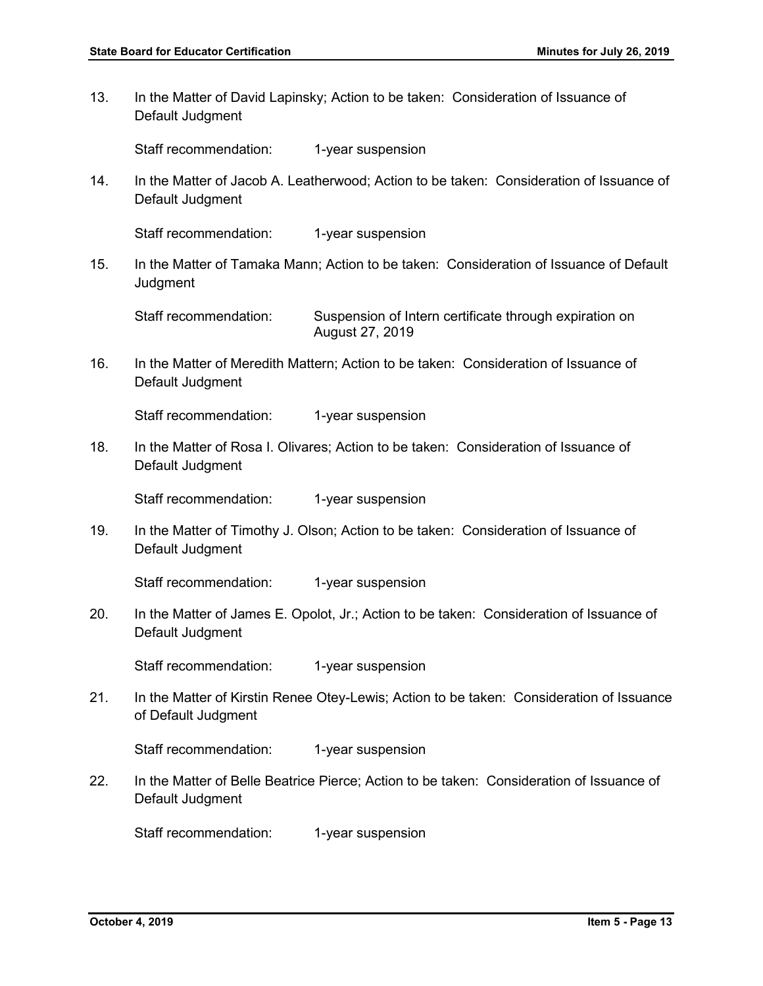13. In the Matter of David Lapinsky; Action to be taken: Consideration of Issuance of Default Judgment

Staff recommendation: 1-year suspension

14. In the Matter of Jacob A. Leatherwood; Action to be taken: Consideration of Issuance of Default Judgment

Staff recommendation: 1-year suspension

15. In the Matter of Tamaka Mann; Action to be taken: Consideration of Issuance of Default **Judgment** 

Staff recommendation: Suspension of Intern certificate through expiration on August 27, 2019

16. In the Matter of Meredith Mattern; Action to be taken: Consideration of Issuance of Default Judgment

Staff recommendation: 1-year suspension

18. In the Matter of Rosa I. Olivares; Action to be taken: Consideration of Issuance of Default Judgment

Staff recommendation: 1-year suspension

19. In the Matter of Timothy J. Olson; Action to be taken: Consideration of Issuance of Default Judgment

Staff recommendation: 1-year suspension

20. In the Matter of James E. Opolot, Jr.; Action to be taken: Consideration of Issuance of Default Judgment

Staff recommendation: 1-year suspension

21. In the Matter of Kirstin Renee Otey-Lewis; Action to be taken: Consideration of Issuance of Default Judgment

Staff recommendation: 1-year suspension

22. In the Matter of Belle Beatrice Pierce; Action to be taken: Consideration of Issuance of Default Judgment

Staff recommendation: 1-year suspension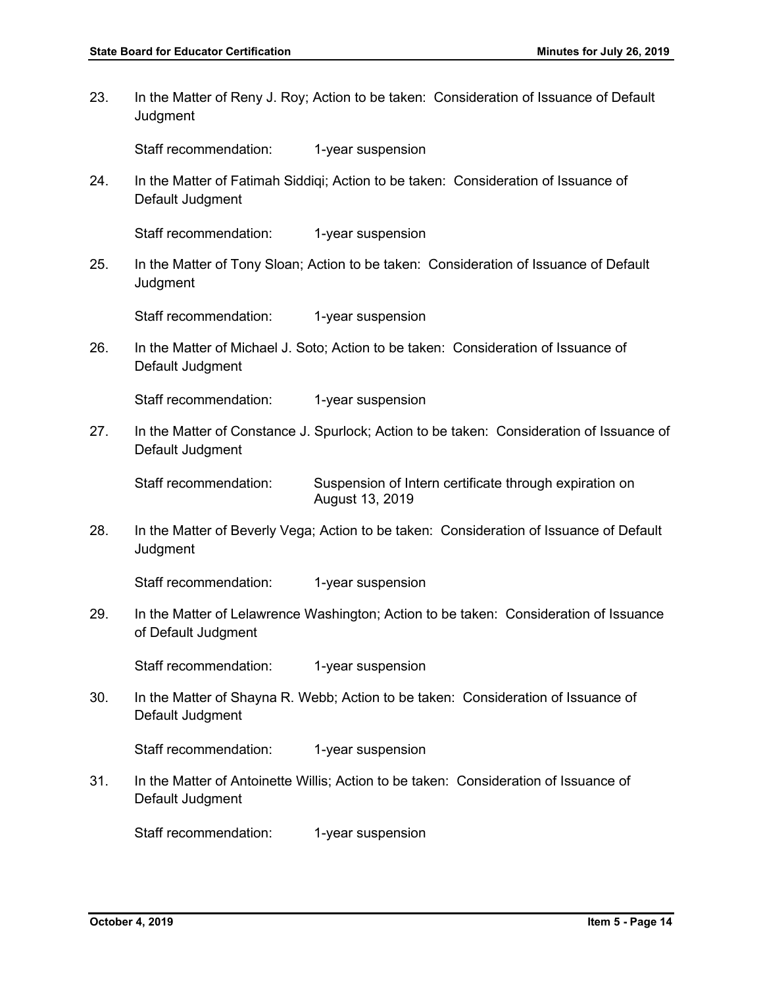23. In the Matter of Reny J. Roy; Action to be taken: Consideration of Issuance of Default **Judgment** 

Staff recommendation: 1-year suspension

24. In the Matter of Fatimah Siddiqi; Action to be taken: Consideration of Issuance of Default Judgment

Staff recommendation: 1-year suspension

25. In the Matter of Tony Sloan; Action to be taken: Consideration of Issuance of Default **Judgment** 

Staff recommendation: 1-year suspension

26. In the Matter of Michael J. Soto; Action to be taken: Consideration of Issuance of Default Judgment

Staff recommendation: 1-year suspension

27. In the Matter of Constance J. Spurlock; Action to be taken: Consideration of Issuance of Default Judgment

Staff recommendation: Suspension of Intern certificate through expiration on August 13, 2019

28. In the Matter of Beverly Vega; Action to be taken: Consideration of Issuance of Default **Judgment** 

Staff recommendation: 1-year suspension

29. In the Matter of Lelawrence Washington; Action to be taken: Consideration of Issuance of Default Judgment

Staff recommendation: 1-year suspension

30. In the Matter of Shayna R. Webb; Action to be taken: Consideration of Issuance of Default Judgment

Staff recommendation: 1-year suspension

31. In the Matter of Antoinette Willis; Action to be taken: Consideration of Issuance of Default Judgment

Staff recommendation: 1-year suspension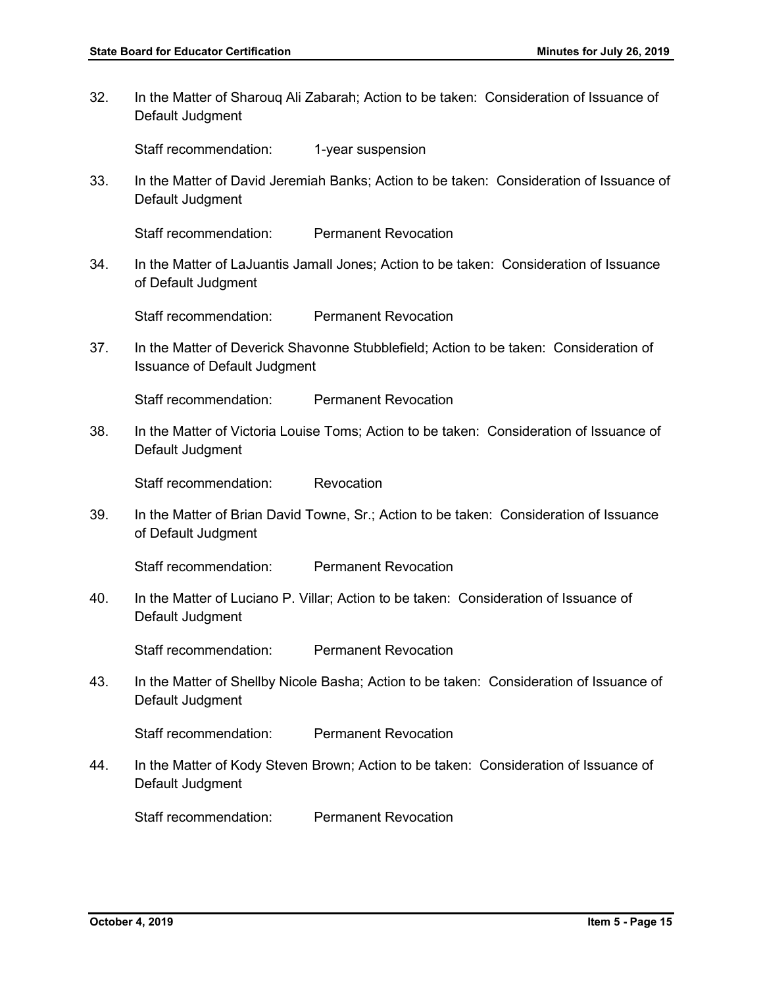32. In the Matter of Sharouq Ali Zabarah; Action to be taken: Consideration of Issuance of Default Judgment

Staff recommendation: 1-year suspension

33. In the Matter of David Jeremiah Banks; Action to be taken: Consideration of Issuance of Default Judgment

Staff recommendation: Permanent Revocation

34. In the Matter of LaJuantis Jamall Jones; Action to be taken: Consideration of Issuance of Default Judgment

Staff recommendation: Permanent Revocation

37. In the Matter of Deverick Shavonne Stubblefield; Action to be taken: Consideration of Issuance of Default Judgment

Staff recommendation: Permanent Revocation

38. In the Matter of Victoria Louise Toms; Action to be taken: Consideration of Issuance of Default Judgment

Staff recommendation: Revocation

39. In the Matter of Brian David Towne, Sr.; Action to be taken: Consideration of Issuance of Default Judgment

Staff recommendation: Permanent Revocation

40. In the Matter of Luciano P. Villar; Action to be taken: Consideration of Issuance of Default Judgment

Staff recommendation: Permanent Revocation

43. In the Matter of Shellby Nicole Basha; Action to be taken: Consideration of Issuance of Default Judgment

Staff recommendation: Permanent Revocation

44. In the Matter of Kody Steven Brown; Action to be taken: Consideration of Issuance of Default Judgment

Staff recommendation: Permanent Revocation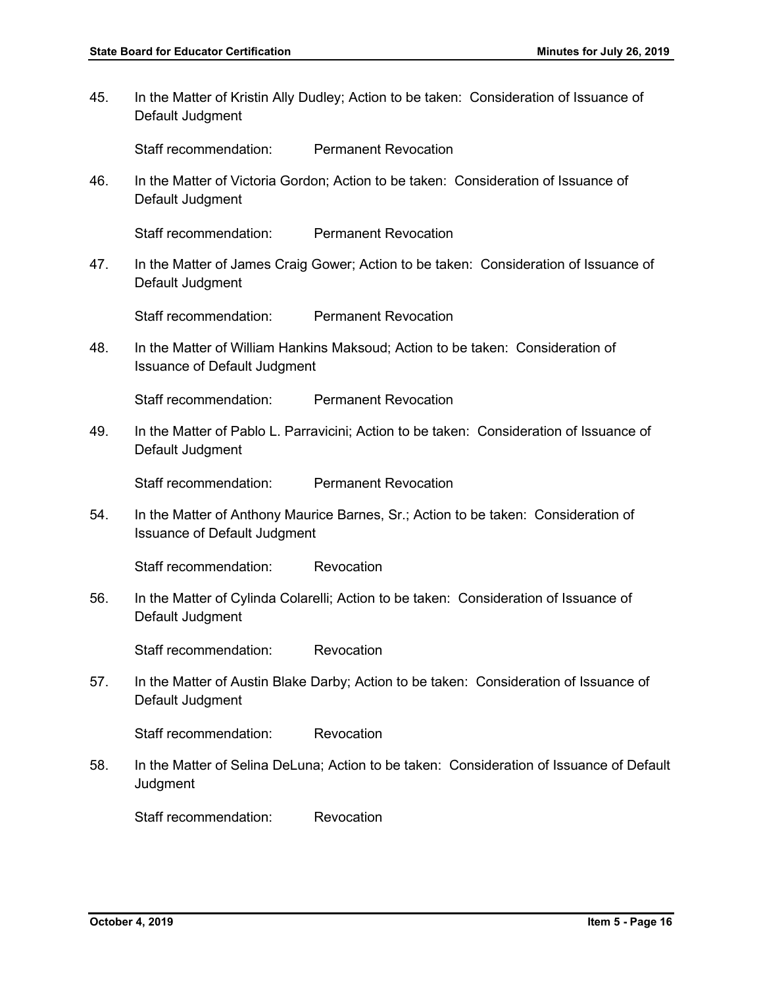45. In the Matter of Kristin Ally Dudley; Action to be taken: Consideration of Issuance of Default Judgment

Staff recommendation: Permanent Revocation

46. In the Matter of Victoria Gordon; Action to be taken: Consideration of Issuance of Default Judgment

Staff recommendation: Permanent Revocation

47. In the Matter of James Craig Gower; Action to be taken: Consideration of Issuance of Default Judgment

Staff recommendation: Permanent Revocation

48. In the Matter of William Hankins Maksoud; Action to be taken: Consideration of Issuance of Default Judgment

Staff recommendation: Permanent Revocation

49. In the Matter of Pablo L. Parravicini; Action to be taken: Consideration of Issuance of Default Judgment

Staff recommendation: Permanent Revocation

54. In the Matter of Anthony Maurice Barnes, Sr.; Action to be taken: Consideration of Issuance of Default Judgment

Staff recommendation: Revocation

56. In the Matter of Cylinda Colarelli; Action to be taken: Consideration of Issuance of Default Judgment

Staff recommendation: Revocation

57. In the Matter of Austin Blake Darby; Action to be taken: Consideration of Issuance of Default Judgment

Staff recommendation: Revocation

58. In the Matter of Selina DeLuna; Action to be taken: Consideration of Issuance of Default **Judgment** 

Staff recommendation: Revocation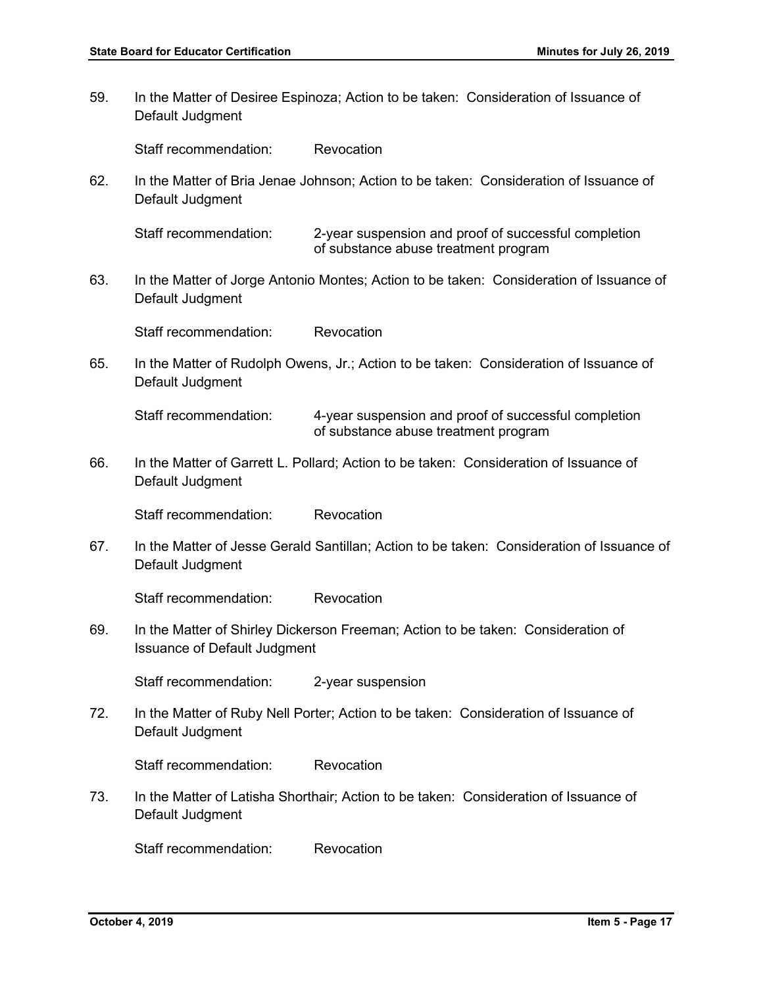59. In the Matter of Desiree Espinoza; Action to be taken: Consideration of Issuance of Default Judgment Staff recommendation: Revocation 62. In the Matter of Bria Jenae Johnson; Action to be taken: Consideration of Issuance of Default Judgment Staff recommendation: 2-year suspension and proof of successful completion of substance abuse treatment program 63. In the Matter of Jorge Antonio Montes; Action to be taken: Consideration of Issuance of Default Judgment Staff recommendation: Revocation 65. In the Matter of Rudolph Owens, Jr.; Action to be taken: Consideration of Issuance of Default Judgment Staff recommendation: 4-year suspension and proof of successful completion of substance abuse treatment program 66. In the Matter of Garrett L. Pollard; Action to be taken: Consideration of Issuance of Default Judgment Staff recommendation: Revocation 67. In the Matter of Jesse Gerald Santillan; Action to be taken: Consideration of Issuance of Default Judgment Staff recommendation: Revocation 69. In the Matter of Shirley Dickerson Freeman; Action to be taken: Consideration of Issuance of Default Judgment Staff recommendation: 2-year suspension 72. In the Matter of Ruby Nell Porter; Action to be taken: Consideration of Issuance of Default Judgment Staff recommendation: Revocation 73. In the Matter of Latisha Shorthair; Action to be taken: Consideration of Issuance of Default Judgment Staff recommendation: Revocation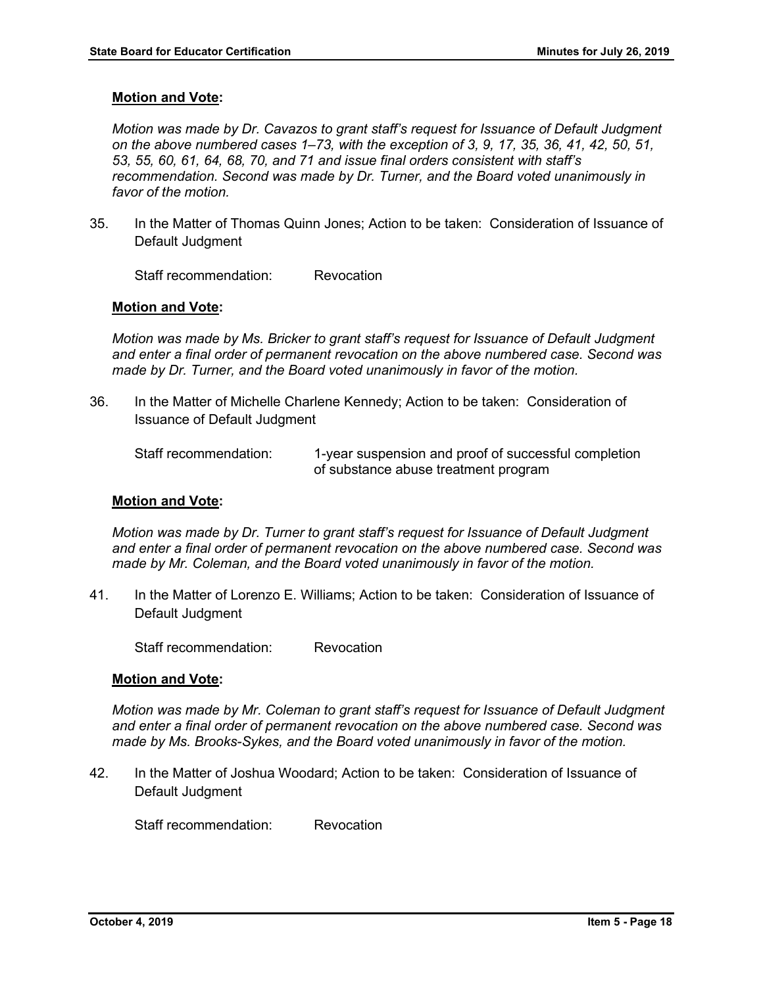*Motion was made by Dr. Cavazos to grant staff's request for Issuance of Default Judgment on the above numbered cases 1–73, with the exception of 3, 9, 17, 35, 36, 41, 42, 50, 51, 53, 55, 60, 61, 64, 68, 70, and 71 and issue final orders consistent with staff's recommendation. Second was made by Dr. Turner, and the Board voted unanimously in favor of the motion.* 

35. In the Matter of Thomas Quinn Jones; Action to be taken: Consideration of Issuance of Default Judgment

Staff recommendation: Revocation

# **Motion and Vote:**

*Motion was made by Ms. Bricker to grant staff's request for Issuance of Default Judgment and enter a final order of permanent revocation on the above numbered case. Second was made by Dr. Turner, and the Board voted unanimously in favor of the motion.* 

36. In the Matter of Michelle Charlene Kennedy; Action to be taken: Consideration of Issuance of Default Judgment

Staff recommendation: 1-year suspension and proof of successful completion of substance abuse treatment program

# **Motion and Vote:**

*Motion was made by Dr. Turner to grant staff's request for Issuance of Default Judgment and enter a final order of permanent revocation on the above numbered case. Second was made by Mr. Coleman, and the Board voted unanimously in favor of the motion.* 

41. In the Matter of Lorenzo E. Williams; Action to be taken: Consideration of Issuance of Default Judgment

Staff recommendation: Revocation

# **Motion and Vote:**

*Motion was made by Mr. Coleman to grant staff's request for Issuance of Default Judgment and enter a final order of permanent revocation on the above numbered case. Second was made by Ms. Brooks-Sykes, and the Board voted unanimously in favor of the motion.* 

42. In the Matter of Joshua Woodard; Action to be taken: Consideration of Issuance of Default Judgment

Staff recommendation: Revocation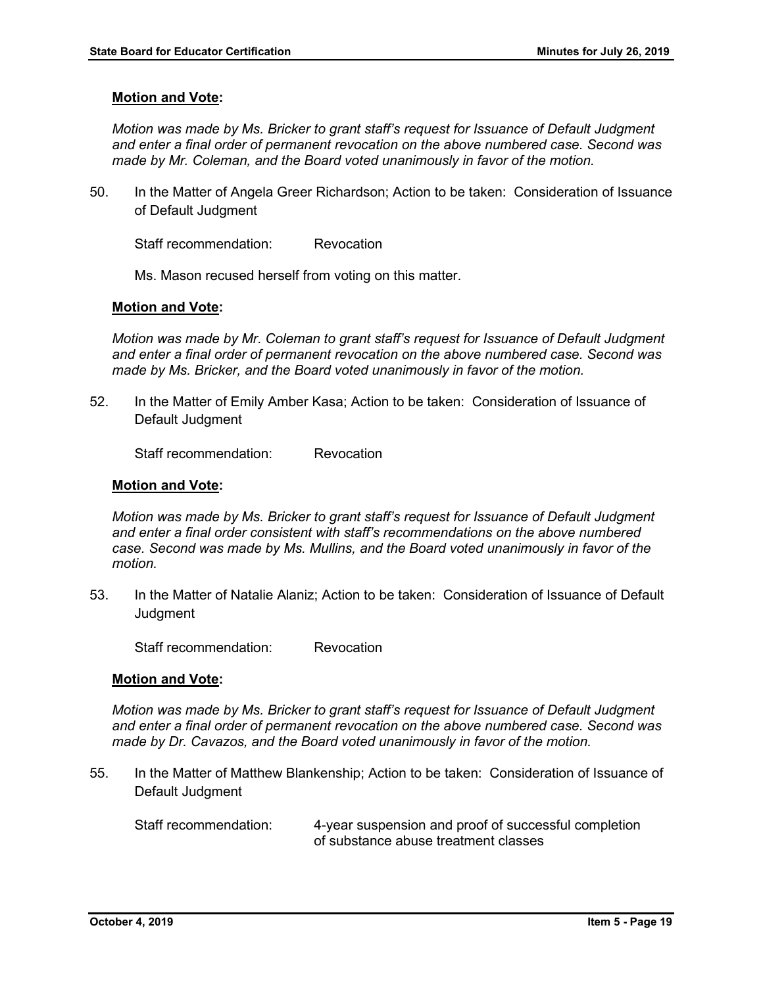*Motion was made by Ms. Bricker to grant staff's request for Issuance of Default Judgment and enter a final order of permanent revocation on the above numbered case. Second was made by Mr. Coleman, and the Board voted unanimously in favor of the motion.* 

50. In the Matter of Angela Greer Richardson; Action to be taken: Consideration of Issuance of Default Judgment

Staff recommendation: Revocation

Ms. Mason recused herself from voting on this matter.

# **Motion and Vote:**

*Motion was made by Mr. Coleman to grant staff's request for Issuance of Default Judgment and enter a final order of permanent revocation on the above numbered case. Second was made by Ms. Bricker, and the Board voted unanimously in favor of the motion.* 

52. In the Matter of Emily Amber Kasa; Action to be taken: Consideration of Issuance of Default Judgment

Staff recommendation: Revocation

#### **Motion and Vote:**

*Motion was made by Ms. Bricker to grant staff's request for Issuance of Default Judgment and enter a final order consistent with staff's recommendations on the above numbered case. Second was made by Ms. Mullins, and the Board voted unanimously in favor of the motion.* 

53. In the Matter of Natalie Alaniz; Action to be taken: Consideration of Issuance of Default **Judament** 

Staff recommendation: Revocation

# **Motion and Vote:**

*Motion was made by Ms. Bricker to grant staff's request for Issuance of Default Judgment and enter a final order of permanent revocation on the above numbered case. Second was made by Dr. Cavazos, and the Board voted unanimously in favor of the motion.* 

55. In the Matter of Matthew Blankenship; Action to be taken: Consideration of Issuance of Default Judgment

Staff recommendation: 4-year suspension and proof of successful completion of substance abuse treatment classes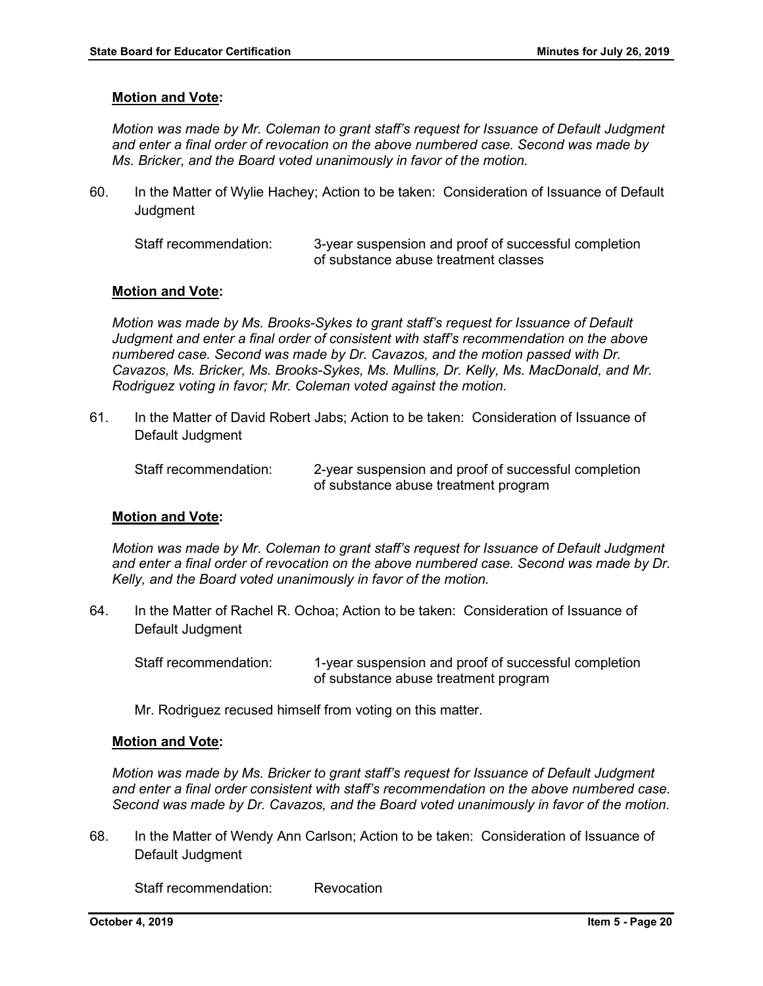*Motion was made by Mr. Coleman to grant staff's request for Issuance of Default Judgment and enter a final order of revocation on the above numbered case. Second was made by Ms. Bricker, and the Board voted unanimously in favor of the motion.* 

60. In the Matter of Wylie Hachey; Action to be taken: Consideration of Issuance of Default **Judgment** 

Staff recommendation: 3-year suspension and proof of successful completion of substance abuse treatment classes

# **Motion and Vote:**

*Motion was made by Ms. Brooks-Sykes to grant staff's request for Issuance of Default Judgment and enter a final order of consistent with staff's recommendation on the above numbered case. Second was made by Dr. Cavazos, and the motion passed with Dr. Cavazos, Ms. Bricker, Ms. Brooks-Sykes, Ms. Mullins, Dr. Kelly, Ms. MacDonald, and Mr. Rodriguez voting in favor; Mr. Coleman voted against the motion.*

61. In the Matter of David Robert Jabs; Action to be taken: Consideration of Issuance of Default Judgment

Staff recommendation: 2-year suspension and proof of successful completion of substance abuse treatment program

#### **Motion and Vote:**

*Motion was made by Mr. Coleman to grant staff's request for Issuance of Default Judgment and enter a final order of revocation on the above numbered case. Second was made by Dr. Kelly, and the Board voted unanimously in favor of the motion.* 

64. In the Matter of Rachel R. Ochoa; Action to be taken: Consideration of Issuance of Default Judgment

Staff recommendation: 1-year suspension and proof of successful completion of substance abuse treatment program

Mr. Rodriguez recused himself from voting on this matter.

#### **Motion and Vote:**

*Motion was made by Ms. Bricker to grant staff's request for Issuance of Default Judgment and enter a final order consistent with staff's recommendation on the above numbered case. Second was made by Dr. Cavazos, and the Board voted unanimously in favor of the motion.* 

68. In the Matter of Wendy Ann Carlson; Action to be taken: Consideration of Issuance of Default Judgment

Staff recommendation: Revocation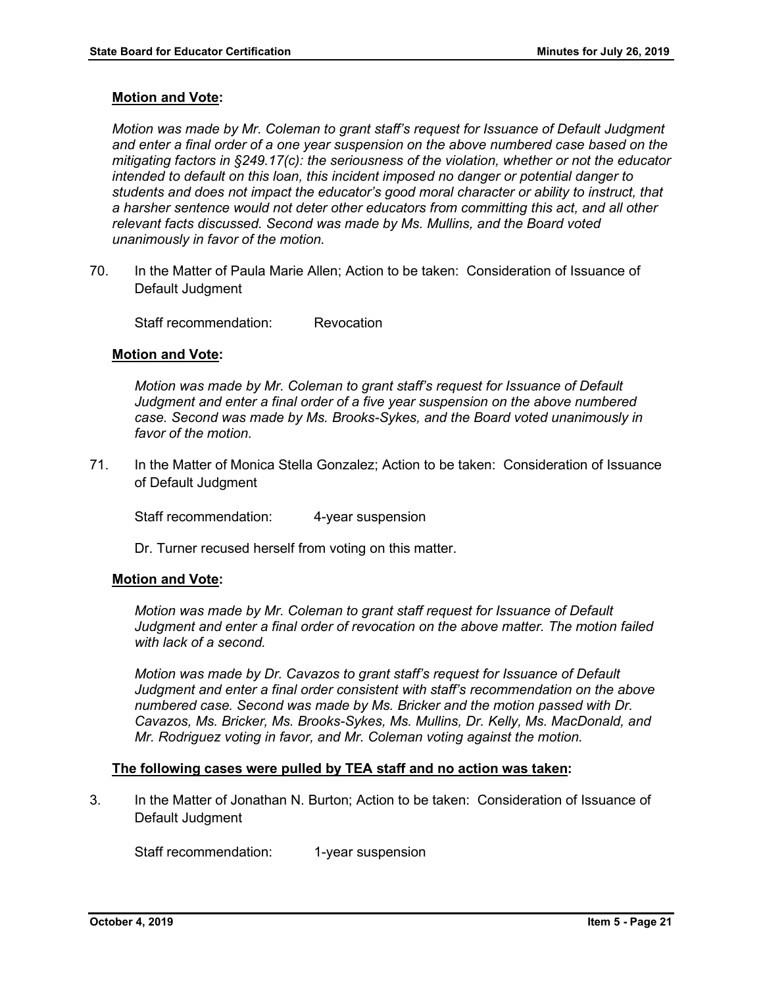*Motion was made by Mr. Coleman to grant staff's request for Issuance of Default Judgment and enter a final order of a one year suspension on the above numbered case based on the mitigating factors in §249.17(c): the seriousness of the violation, whether or not the educator intended to default on this loan, this incident imposed no danger or potential danger to students and does not impact the educator's good moral character or ability to instruct, that a harsher sentence would not deter other educators from committing this act, and all other relevant facts discussed. Second was made by Ms. Mullins, and the Board voted unanimously in favor of the motion.* 

70. In the Matter of Paula Marie Allen; Action to be taken: Consideration of Issuance of Default Judgment

Staff recommendation: Revocation

# **Motion and Vote:**

*Motion was made by Mr. Coleman to grant staff's request for Issuance of Default Judgment and enter a final order of a five year suspension on the above numbered case. Second was made by Ms. Brooks-Sykes, and the Board voted unanimously in favor of the motion.*

71. In the Matter of Monica Stella Gonzalez; Action to be taken: Consideration of Issuance of Default Judgment

Staff recommendation: 4-year suspension

Dr. Turner recused herself from voting on this matter.

# **Motion and Vote:**

*Motion was made by Mr. Coleman to grant staff request for Issuance of Default Judgment and enter a final order of revocation on the above matter. The motion failed with lack of a second.* 

*Motion was made by Dr. Cavazos to grant staff's request for Issuance of Default Judgment and enter a final order consistent with staff's recommendation on the above numbered case. Second was made by Ms. Bricker and the motion passed with Dr. Cavazos, Ms. Bricker, Ms. Brooks-Sykes, Ms. Mullins, Dr. Kelly, Ms. MacDonald, and Mr. Rodriguez voting in favor, and Mr. Coleman voting against the motion.*

#### **The following cases were pulled by TEA staff and no action was taken:**

3. In the Matter of Jonathan N. Burton; Action to be taken: Consideration of Issuance of Default Judgment

Staff recommendation: 1-year suspension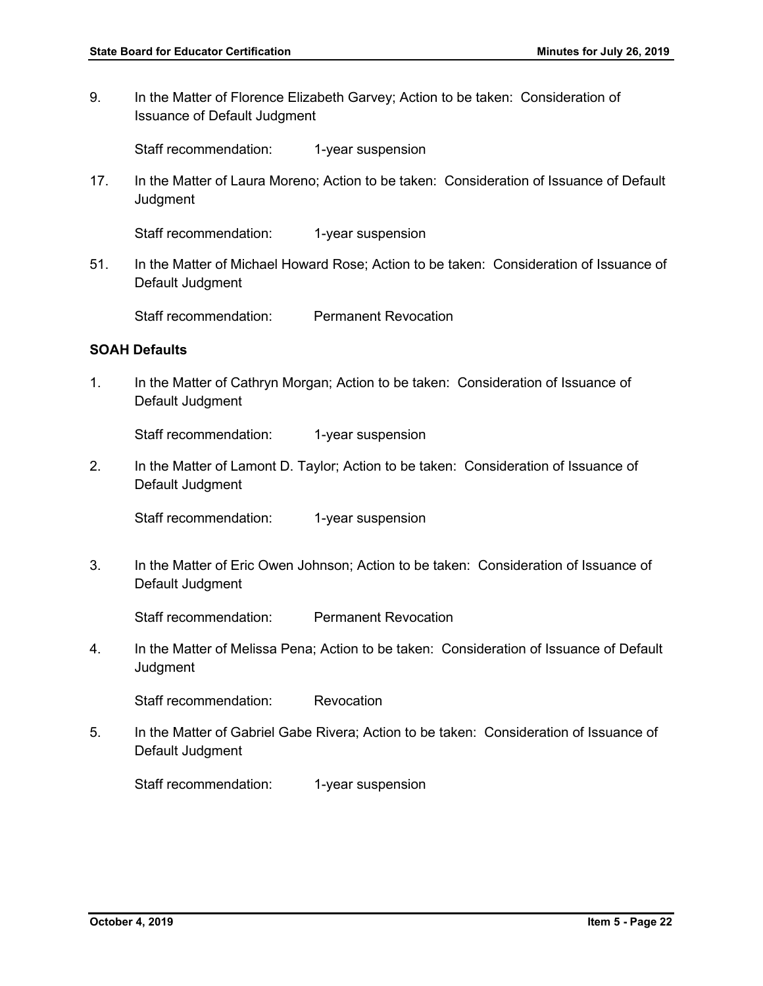9. In the Matter of Florence Elizabeth Garvey; Action to be taken: Consideration of Issuance of Default Judgment

Staff recommendation: 1-year suspension

17. In the Matter of Laura Moreno; Action to be taken: Consideration of Issuance of Default **Judgment** 

Staff recommendation: 1-year suspension

51. In the Matter of Michael Howard Rose; Action to be taken: Consideration of Issuance of Default Judgment

Staff recommendation: Permanent Revocation

# **SOAH Defaults**

1. In the Matter of Cathryn Morgan; Action to be taken: Consideration of Issuance of Default Judgment

Staff recommendation: 1-year suspension

2. In the Matter of Lamont D. Taylor; Action to be taken: Consideration of Issuance of Default Judgment

Staff recommendation: 1-year suspension

3. In the Matter of Eric Owen Johnson; Action to be taken: Consideration of Issuance of Default Judgment

Staff recommendation: Permanent Revocation

4. In the Matter of Melissa Pena; Action to be taken: Consideration of Issuance of Default **Judgment** 

Staff recommendation: Revocation

5. In the Matter of Gabriel Gabe Rivera; Action to be taken: Consideration of Issuance of Default Judgment

Staff recommendation: 1-year suspension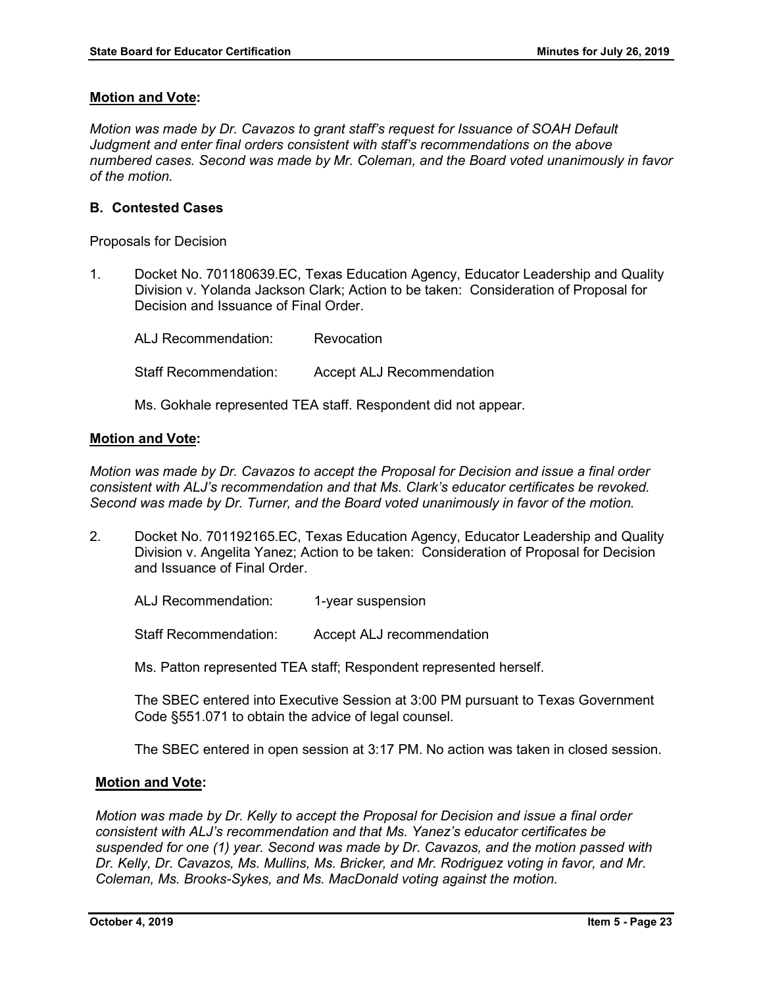*Motion was made by Dr. Cavazos to grant staff's request for Issuance of SOAH Default Judgment and enter final orders consistent with staff's recommendations on the above numbered cases. Second was made by Mr. Coleman, and the Board voted unanimously in favor of the motion.* 

# **B. Contested Cases**

Proposals for Decision

1. Docket No. 701180639.EC, Texas Education Agency, Educator Leadership and Quality Division v. Yolanda Jackson Clark; Action to be taken: Consideration of Proposal for Decision and Issuance of Final Order.

ALJ Recommendation: Revocation Staff Recommendation: Accept ALJ Recommendation

Ms. Gokhale represented TEA staff. Respondent did not appear.

# **Motion and Vote:**

*Motion was made by Dr. Cavazos to accept the Proposal for Decision and issue a final order consistent with ALJ's recommendation and that Ms. Clark's educator certificates be revoked. Second was made by Dr. Turner, and the Board voted unanimously in favor of the motion.* 

2. Docket No. 701192165.EC, Texas Education Agency, Educator Leadership and Quality Division v. Angelita Yanez; Action to be taken: Consideration of Proposal for Decision and Issuance of Final Order.

ALJ Recommendation: 1-year suspension

Staff Recommendation: Accept ALJ recommendation

Ms. Patton represented TEA staff; Respondent represented herself.

The SBEC entered into Executive Session at 3:00 PM pursuant to Texas Government Code §551.071 to obtain the advice of legal counsel.

The SBEC entered in open session at 3:17 PM. No action was taken in closed session.

# **Motion and Vote:**

*Motion was made by Dr. Kelly to accept the Proposal for Decision and issue a final order consistent with ALJ's recommendation and that Ms. Yanez's educator certificates be suspended for one (1) year. Second was made by Dr. Cavazos, and the motion passed with Dr. Kelly, Dr. Cavazos, Ms. Mullins, Ms. Bricker, and Mr. Rodriguez voting in favor, and Mr. Coleman, Ms. Brooks-Sykes, and Ms. MacDonald voting against the motion.*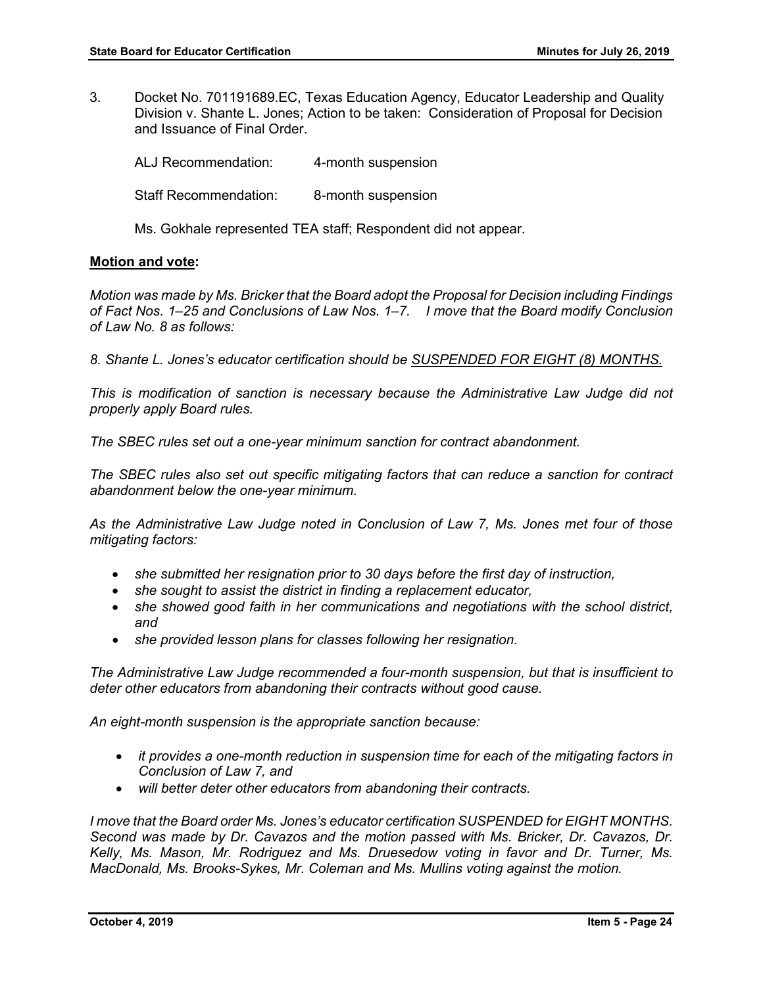3. Docket No. 701191689.EC, Texas Education Agency, Educator Leadership and Quality Division v. Shante L. Jones; Action to be taken: Consideration of Proposal for Decision and Issuance of Final Order.

ALJ Recommendation: 4-month suspension Staff Recommendation: 8-month suspension

Ms. Gokhale represented TEA staff; Respondent did not appear.

# **Motion and vote:**

*Motion was made by Ms. Bricker that the Board adopt the Proposal for Decision including Findings of Fact Nos. 1–25 and Conclusions of Law Nos. 1–7. I move that the Board modify Conclusion of Law No. 8 as follows:*

*8. Shante L. Jones's educator certification should be SUSPENDED FOR EIGHT (8) MONTHS.*

*This is modification of sanction is necessary because the Administrative Law Judge did not properly apply Board rules.*

*The SBEC rules set out a one-year minimum sanction for contract abandonment.*

*The SBEC rules also set out specific mitigating factors that can reduce a sanction for contract abandonment below the one-year minimum.* 

*As the Administrative Law Judge noted in Conclusion of Law 7, Ms. Jones met four of those mitigating factors:*

- *she submitted her resignation prior to 30 days before the first day of instruction,*
- *she sought to assist the district in finding a replacement educator,*
- *she showed good faith in her communications and negotiations with the school district, and*
- *she provided lesson plans for classes following her resignation.*

*The Administrative Law Judge recommended a four-month suspension, but that is insufficient to deter other educators from abandoning their contracts without good cause.* 

*An eight-month suspension is the appropriate sanction because:*

- *it provides a one-month reduction in suspension time for each of the mitigating factors in Conclusion of Law 7, and*
- *will better deter other educators from abandoning their contracts.*

*I move that the Board order Ms. Jones's educator certification SUSPENDED for EIGHT MONTHS. Second was made by Dr. Cavazos and the motion passed with Ms. Bricker, Dr. Cavazos, Dr. Kelly, Ms. Mason, Mr. Rodriguez and Ms. Druesedow voting in favor and Dr. Turner, Ms. MacDonald, Ms. Brooks-Sykes, Mr. Coleman and Ms. Mullins voting against the motion.*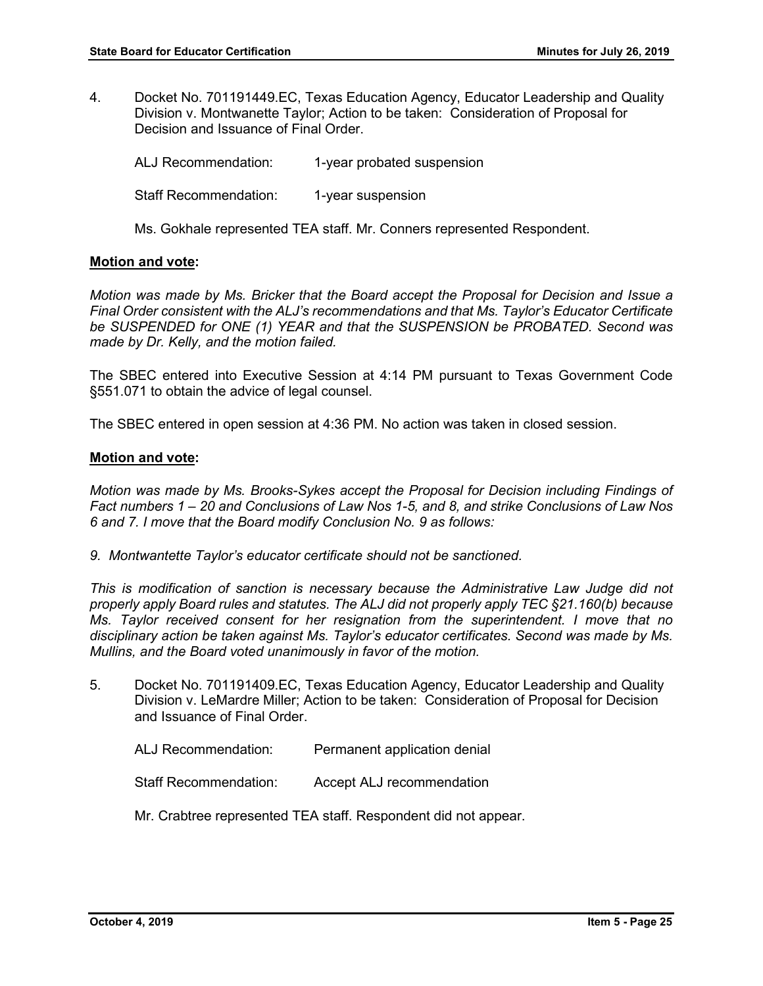4. Docket No. 701191449.EC, Texas Education Agency, Educator Leadership and Quality Division v. Montwanette Taylor; Action to be taken: Consideration of Proposal for Decision and Issuance of Final Order.

ALJ Recommendation: 1-year probated suspension Staff Recommendation: 1-year suspension Ms. Gokhale represented TEA staff. Mr. Conners represented Respondent.

# **Motion and vote:**

*Motion was made by Ms. Bricker that the Board accept the Proposal for Decision and Issue a Final Order consistent with the ALJ's recommendations and that Ms. Taylor's Educator Certificate be SUSPENDED for ONE (1) YEAR and that the SUSPENSION be PROBATED. Second was made by Dr. Kelly, and the motion failed.* 

The SBEC entered into Executive Session at 4:14 PM pursuant to Texas Government Code §551.071 to obtain the advice of legal counsel.

The SBEC entered in open session at 4:36 PM. No action was taken in closed session.

#### **Motion and vote:**

*Motion was made by Ms. Brooks-Sykes accept the Proposal for Decision including Findings of Fact numbers 1 – 20 and Conclusions of Law Nos 1-5, and 8, and strike Conclusions of Law Nos 6 and 7. I move that the Board modify Conclusion No. 9 as follows:* 

*9. Montwantette Taylor's educator certificate should not be sanctioned.* 

*This is modification of sanction is necessary because the Administrative Law Judge did not properly apply Board rules and statutes. The ALJ did not properly apply TEC §21.160(b) because Ms. Taylor received consent for her resignation from the superintendent. I move that no disciplinary action be taken against Ms. Taylor's educator certificates. Second was made by Ms. Mullins, and the Board voted unanimously in favor of the motion.* 

5. Docket No. 701191409.EC, Texas Education Agency, Educator Leadership and Quality Division v. LeMardre Miller; Action to be taken: Consideration of Proposal for Decision and Issuance of Final Order.

ALJ Recommendation: Permanent application denial

Staff Recommendation: Accept ALJ recommendation

Mr. Crabtree represented TEA staff. Respondent did not appear.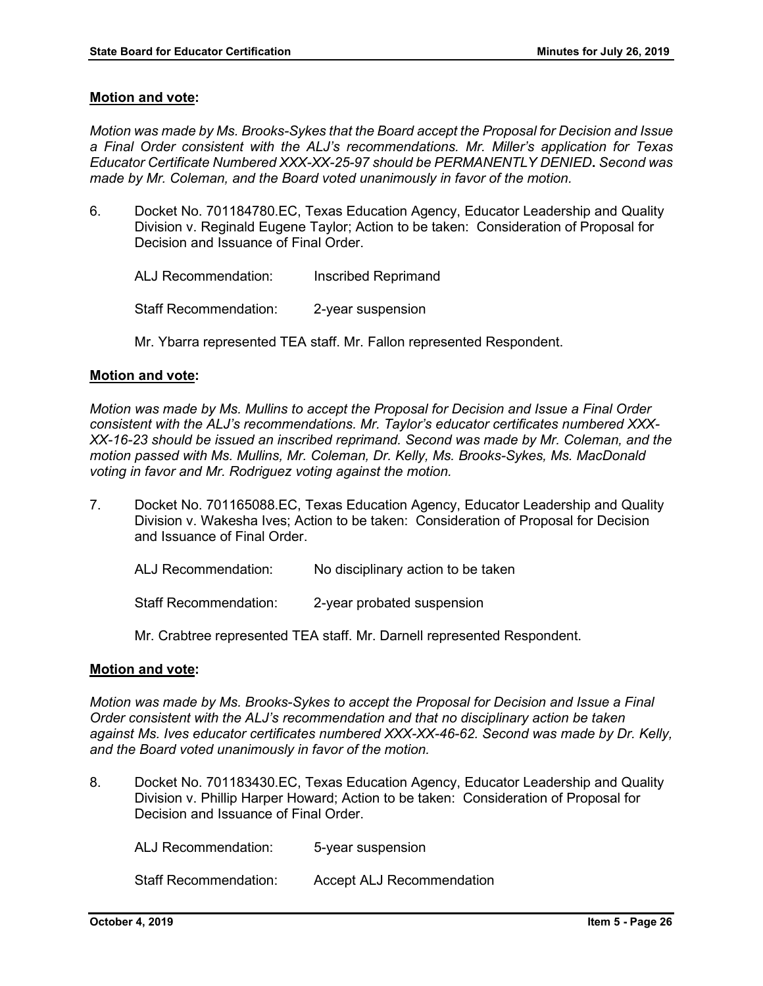*Motion was made by Ms. Brooks-Sykes that the Board accept the Proposal for Decision and Issue a Final Order consistent with the ALJ's recommendations. Mr. Miller's application for Texas Educator Certificate Numbered XXX-XX-25-97 should be PERMANENTLY DENIED***.** *Second was made by Mr. Coleman, and the Board voted unanimously in favor of the motion.* 

- 6. Docket No. 701184780.EC, Texas Education Agency, Educator Leadership and Quality Division v. Reginald Eugene Taylor; Action to be taken: Consideration of Proposal for Decision and Issuance of Final Order.
	- ALJ Recommendation: Inscribed Reprimand Staff Recommendation: 2-year suspension
	- Mr. Ybarra represented TEA staff. Mr. Fallon represented Respondent.

# **Motion and vote:**

*Motion was made by Ms. Mullins to accept the Proposal for Decision and Issue a Final Order consistent with the ALJ's recommendations. Mr. Taylor's educator certificates numbered XXX-XX-16-23 should be issued an inscribed reprimand. Second was made by Mr. Coleman, and the motion passed with Ms. Mullins, Mr. Coleman, Dr. Kelly, Ms. Brooks-Sykes, Ms. MacDonald voting in favor and Mr. Rodriguez voting against the motion.*

- 7. Docket No. 701165088.EC, Texas Education Agency, Educator Leadership and Quality Division v. Wakesha Ives; Action to be taken: Consideration of Proposal for Decision and Issuance of Final Order.
	- ALJ Recommendation: No disciplinary action to be taken

Staff Recommendation: 2-year probated suspension

Mr. Crabtree represented TEA staff. Mr. Darnell represented Respondent.

# **Motion and vote:**

*Motion was made by Ms. Brooks-Sykes to accept the Proposal for Decision and Issue a Final Order consistent with the ALJ's recommendation and that no disciplinary action be taken against Ms. Ives educator certificates numbered XXX-XX-46-62. Second was made by Dr. Kelly, and the Board voted unanimously in favor of the motion.* 

8. Docket No. 701183430.EC, Texas Education Agency, Educator Leadership and Quality Division v. Phillip Harper Howard; Action to be taken: Consideration of Proposal for Decision and Issuance of Final Order.

ALJ Recommendation: 5-year suspension Staff Recommendation: Accept ALJ Recommendation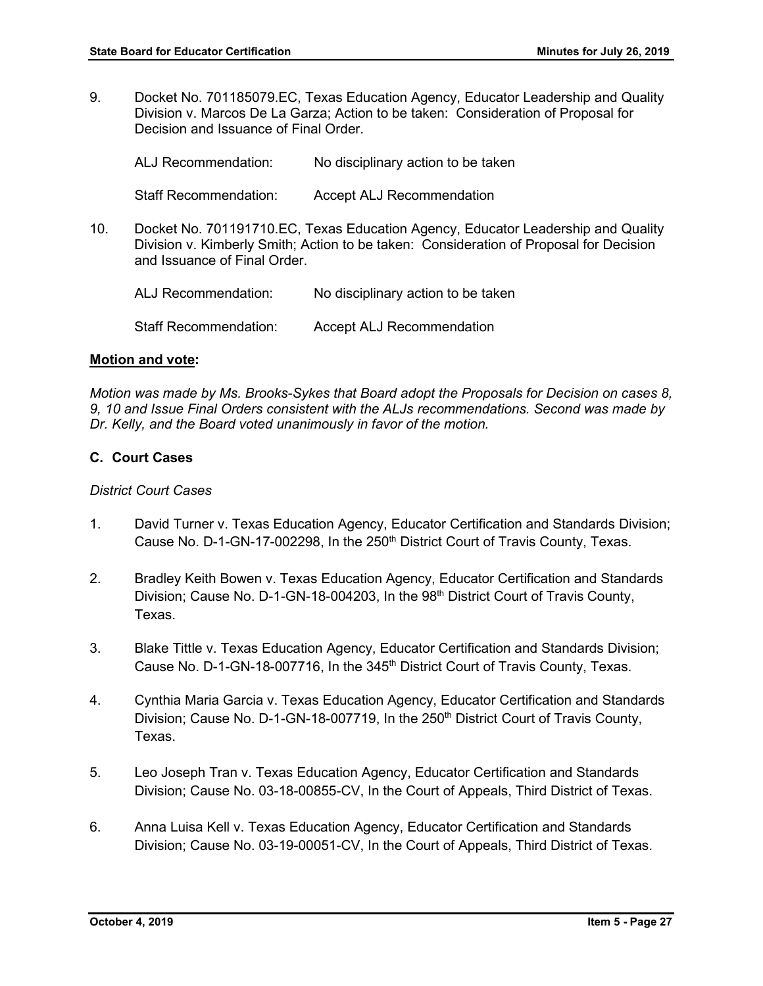9. Docket No. 701185079.EC, Texas Education Agency, Educator Leadership and Quality Division v. Marcos De La Garza; Action to be taken: Consideration of Proposal for Decision and Issuance of Final Order.

ALJ Recommendation: No disciplinary action to be taken Staff Recommendation: Accept ALJ Recommendation 10. Docket No. 701191710.EC, Texas Education Agency, Educator Leadership and Quality Division v. Kimberly Smith; Action to be taken: Consideration of Proposal for Decision and Issuance of Final Order.

ALJ Recommendation: No disciplinary action to be taken Staff Recommendation: Accept ALJ Recommendation

# **Motion and vote:**

*Motion was made by Ms. Brooks-Sykes that Board adopt the Proposals for Decision on cases 8, 9, 10 and Issue Final Orders consistent with the ALJs recommendations. Second was made by Dr. Kelly, and the Board voted unanimously in favor of the motion.* 

#### **C. Court Cases**

### *District Court Cases*

- 1. David Turner v. Texas Education Agency, Educator Certification and Standards Division; Cause No. D-1-GN-17-002298, In the 250<sup>th</sup> District Court of Travis County, Texas.
- 2. Bradley Keith Bowen v. Texas Education Agency, Educator Certification and Standards Division; Cause No. D-1-GN-18-004203, In the 98<sup>th</sup> District Court of Travis County, Texas.
- 3. Blake Tittle v. Texas Education Agency, Educator Certification and Standards Division; Cause No. D-1-GN-18-007716, In the 345<sup>th</sup> District Court of Travis County, Texas.
- 4. Cynthia Maria Garcia v. Texas Education Agency, Educator Certification and Standards Division; Cause No. D-1-GN-18-007719, In the 250<sup>th</sup> District Court of Travis County, Texas.
- 5. Leo Joseph Tran v. Texas Education Agency, Educator Certification and Standards Division; Cause No. 03-18-00855-CV, In the Court of Appeals, Third District of Texas.
- 6. Anna Luisa Kell v. Texas Education Agency, Educator Certification and Standards Division; Cause No. 03-19-00051-CV, In the Court of Appeals, Third District of Texas.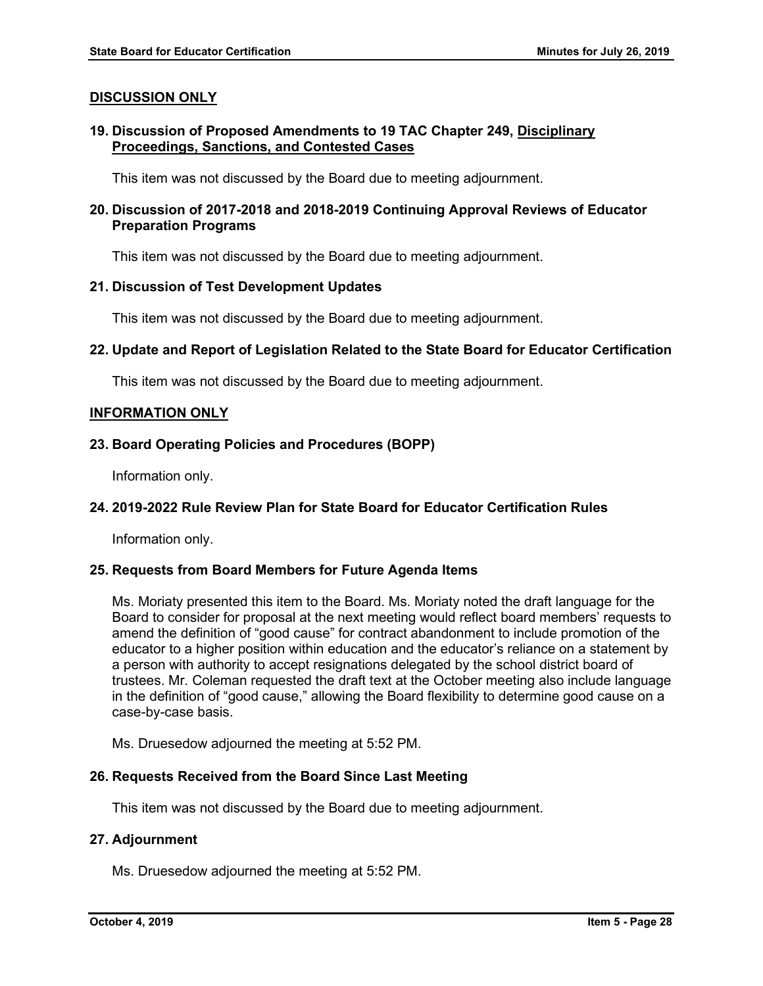# **DISCUSSION ONLY**

# **19. Discussion of Proposed Amendments to 19 TAC Chapter 249, Disciplinary Proceedings, Sanctions, and Contested Cases**

This item was not discussed by the Board due to meeting adjournment.

# **20. Discussion of 2017-2018 and 2018-2019 Continuing Approval Reviews of Educator Preparation Programs**

This item was not discussed by the Board due to meeting adjournment.

# **21. Discussion of Test Development Updates**

This item was not discussed by the Board due to meeting adjournment.

# **22. Update and Report of Legislation Related to the State Board for Educator Certification**

This item was not discussed by the Board due to meeting adjournment.

# **INFORMATION ONLY**

# **23. Board Operating Policies and Procedures (BOPP)**

Information only.

# **24. 2019-2022 Rule Review Plan for State Board for Educator Certification Rules**

Information only.

# **25. Requests from Board Members for Future Agenda Items**

Ms. Moriaty presented this item to the Board. Ms. Moriaty noted the draft language for the Board to consider for proposal at the next meeting would reflect board members' requests to amend the definition of "good cause" for contract abandonment to include promotion of the educator to a higher position within education and the educator's reliance on a statement by a person with authority to accept resignations delegated by the school district board of trustees. Mr. Coleman requested the draft text at the October meeting also include language in the definition of "good cause," allowing the Board flexibility to determine good cause on a case-by-case basis.

Ms. Druesedow adjourned the meeting at 5:52 PM.

# **26. Requests Received from the Board Since Last Meeting**

This item was not discussed by the Board due to meeting adjournment.

# **27. Adjournment**

Ms. Druesedow adjourned the meeting at 5:52 PM.